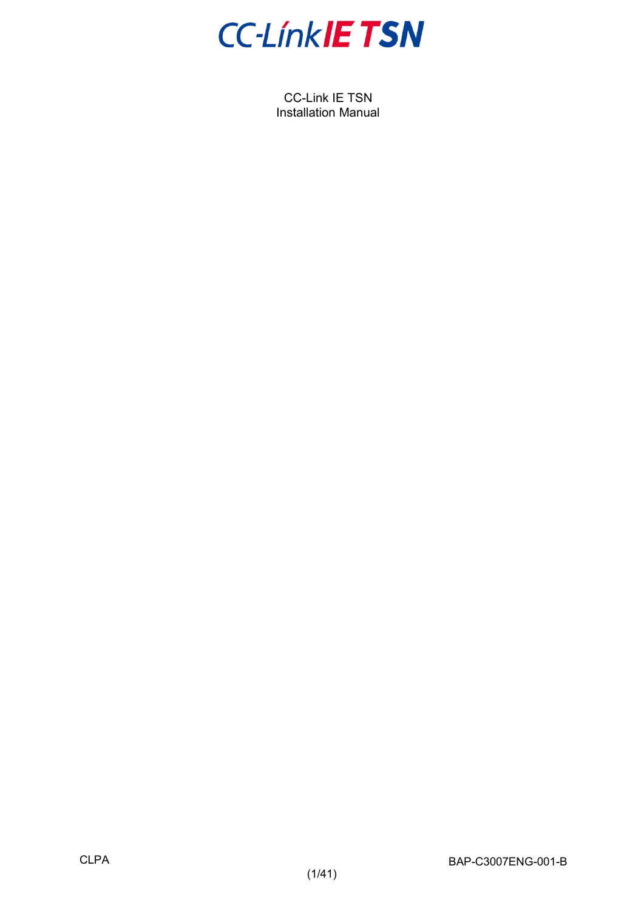

CC-Link IE TSN Installation Manual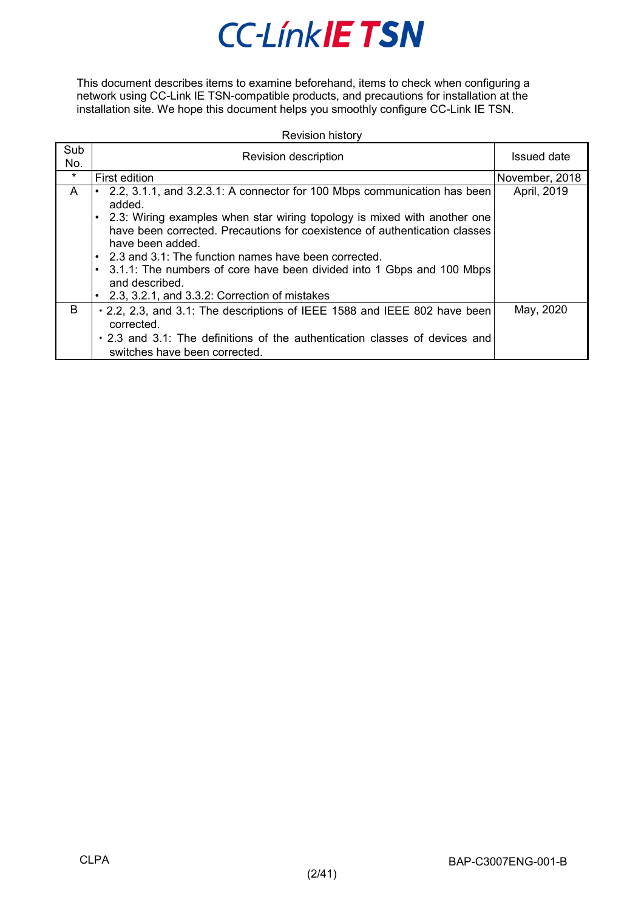This document describes items to examine beforehand, items to check when configuring a network using CC-Link IE TSN-compatible products, and precautions for installation at the installation site. We hope this document helps you smoothly configure CC-Link IE TSN.

| <b>Revision history</b> |  |
|-------------------------|--|
|-------------------------|--|

| Sub<br>No. | Revision description                                                                                                                                                       | Issued date    |
|------------|----------------------------------------------------------------------------------------------------------------------------------------------------------------------------|----------------|
| $\star$    | First edition                                                                                                                                                              | November, 2018 |
| A          | 2.2, 3.1.1, and 3.2.3.1: A connector for 100 Mbps communication has been<br>added.                                                                                         | April, 2019    |
|            | 2.3: Wiring examples when star wiring topology is mixed with another one<br>have been corrected. Precautions for coexistence of authentication classes<br>have been added. |                |
|            | • 2.3 and 3.1: The function names have been corrected.<br>• 3.1.1: The numbers of core have been divided into 1 Gbps and 100 Mbps<br>and described.                        |                |
|            | • 2.3, 3.2.1, and 3.3.2: Correction of mistakes                                                                                                                            |                |
| B.         | . 2.2, 2.3, and 3.1: The descriptions of IEEE 1588 and IEEE 802 have been<br>corrected.                                                                                    | May, 2020      |
|            | . 2.3 and 3.1: The definitions of the authentication classes of devices and<br>switches have been corrected.                                                               |                |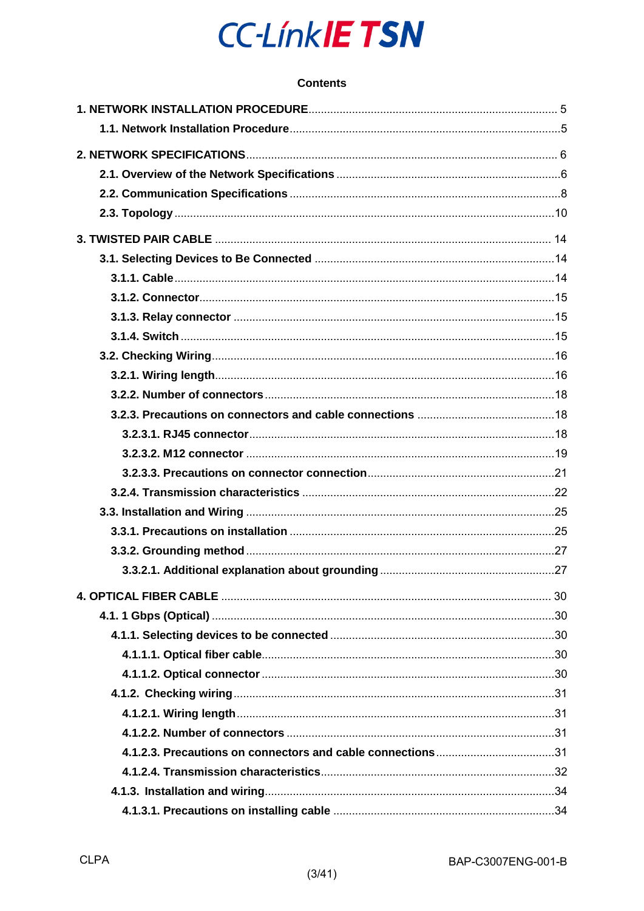### **Contents**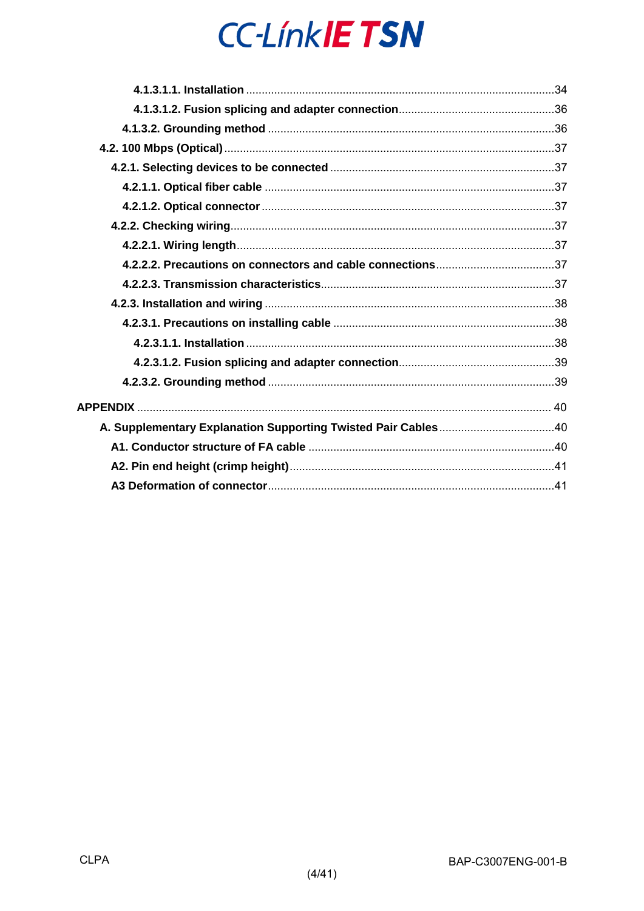| A. Supplementary Explanation Supporting Twisted Pair Cables40 |  |
|---------------------------------------------------------------|--|
|                                                               |  |
|                                                               |  |
|                                                               |  |
|                                                               |  |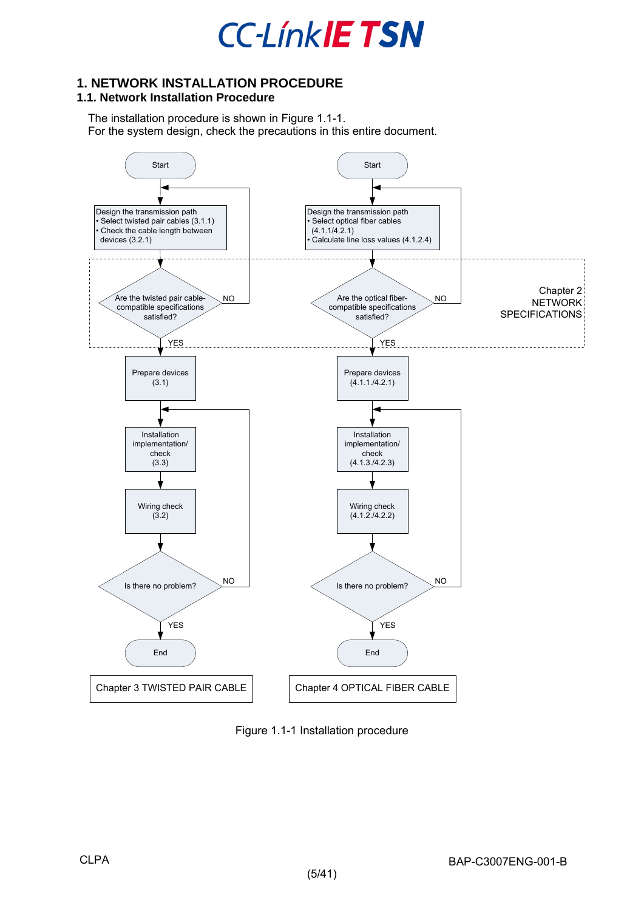

### <span id="page-4-0"></span>**1. NETWORK INSTALLATION PROCEDURE**

### <span id="page-4-1"></span>**1.1. Network Installation Procedure**

The installation procedure is shown in [Figure 1.1-1.](#page-4-2) For the system design, check the precautions in this entire document.



<span id="page-4-2"></span>Figure 1.1-1 Installation procedure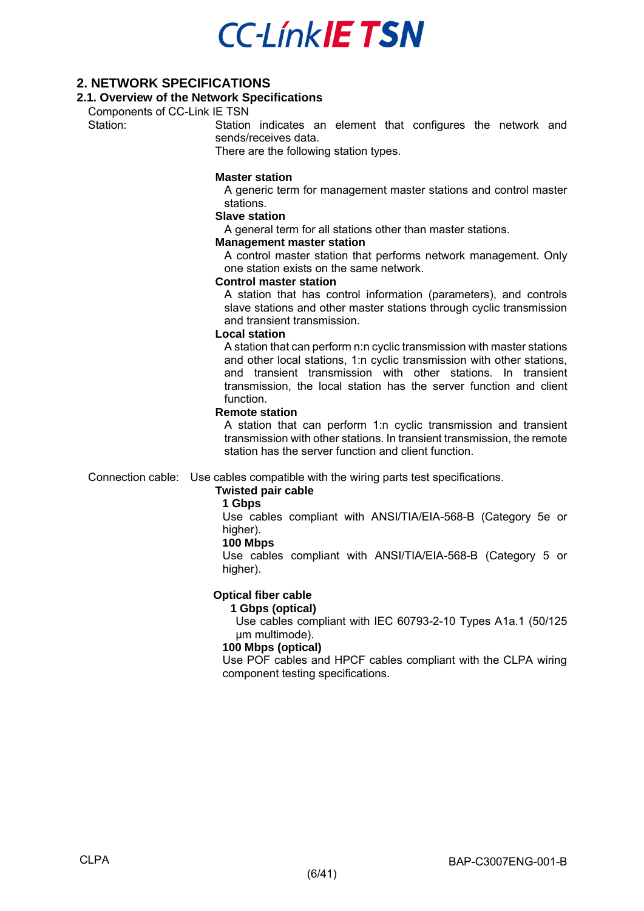### <span id="page-5-0"></span>**2. NETWORK SPECIFICATIONS**

### <span id="page-5-1"></span>**2.1. Overview of the Network Specifications**

Components of CC-Link IE TSN<br>Station: Station

Station indicates an element that configures the network and sends/receives data.

There are the following station types.

#### **Master station**

A generic term for management master stations and control master stations.

#### **Slave station**

A general term for all stations other than master stations.

#### **Management master station**

A control master station that performs network management. Only one station exists on the same network.

#### **Control master station**

A station that has control information (parameters), and controls slave stations and other master stations through cyclic transmission and transient transmission.

#### **Local station**

A station that can perform n:n cyclic transmission with master stations and other local stations, 1:n cyclic transmission with other stations, and transient transmission with other stations. In transient transmission, the local station has the server function and client function.

#### **Remote station**

A station that can perform 1:n cyclic transmission and transient transmission with other stations. In transient transmission, the remote station has the server function and client function.

Connection cable: Use cables compatible with the wiring parts test specifications.

### **Twisted pair cable**

#### **1 Gbps**

Use cables compliant with ANSI/TIA/EIA-568-B (Category 5e or higher).

#### **100 Mbps**

Use cables compliant with ANSI/TIA/EIA-568-B (Category 5 or higher).

### **Optical fiber cable**

#### **1 Gbps (optical)**

Use cables compliant with IEC 60793-2-10 Types A1a.1 (50/125 um multimode).

#### **100 Mbps (optical)**

Use POF cables and HPCF cables compliant with the CLPA wiring component testing specifications.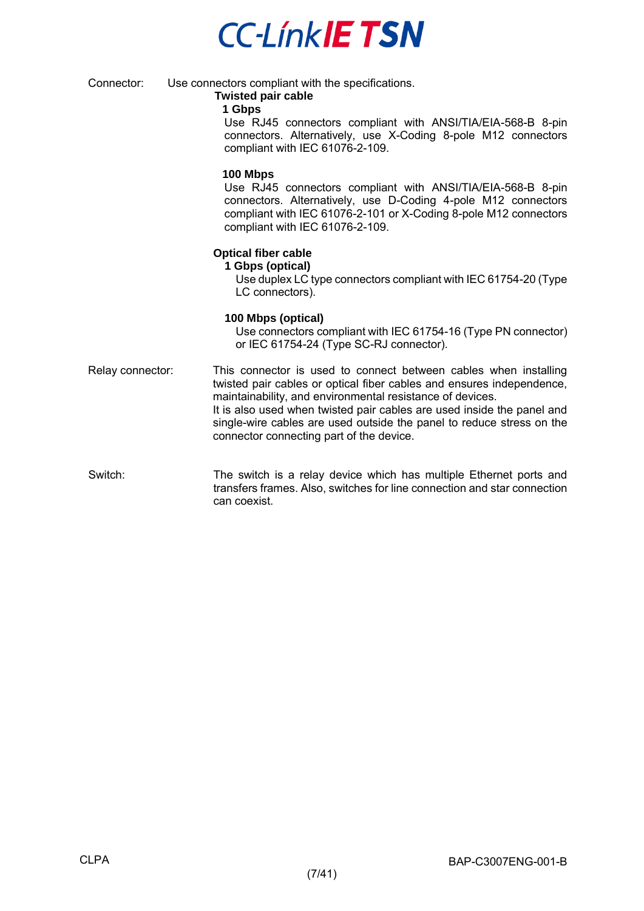**CC-LinkIETSN** 

Connector: Use connectors compliant with the specifications.

### **Twisted pair cable**

#### **1 Gbps**

Use RJ45 connectors compliant with ANSI/TIA/EIA-568-B 8-pin connectors. Alternatively, use X-Coding 8-pole M12 connectors compliant with IEC 61076-2-109.

#### **100 Mbps**

Use RJ45 connectors compliant with ANSI/TIA/EIA-568-B 8-pin connectors. Alternatively, use D-Coding 4-pole M12 connectors compliant with IEC 61076-2-101 or X-Coding 8-pole M12 connectors compliant with IEC 61076-2-109.

### **Optical fiber cable**

#### **1 Gbps (optical)**

Use duplex LC type connectors compliant with IEC 61754-20 (Type LC connectors).

### **100 Mbps (optical)**

Use connectors compliant with IEC 61754-16 (Type PN connector) or IEC 61754-24 (Type SC-RJ connector).

- Relay connector: This connector is used to connect between cables when installing twisted pair cables or optical fiber cables and ensures independence, maintainability, and environmental resistance of devices. It is also used when twisted pair cables are used inside the panel and single-wire cables are used outside the panel to reduce stress on the connector connecting part of the device.
- Switch: The switch is a relay device which has multiple Ethernet ports and transfers frames. Also, switches for line connection and star connection can coexist.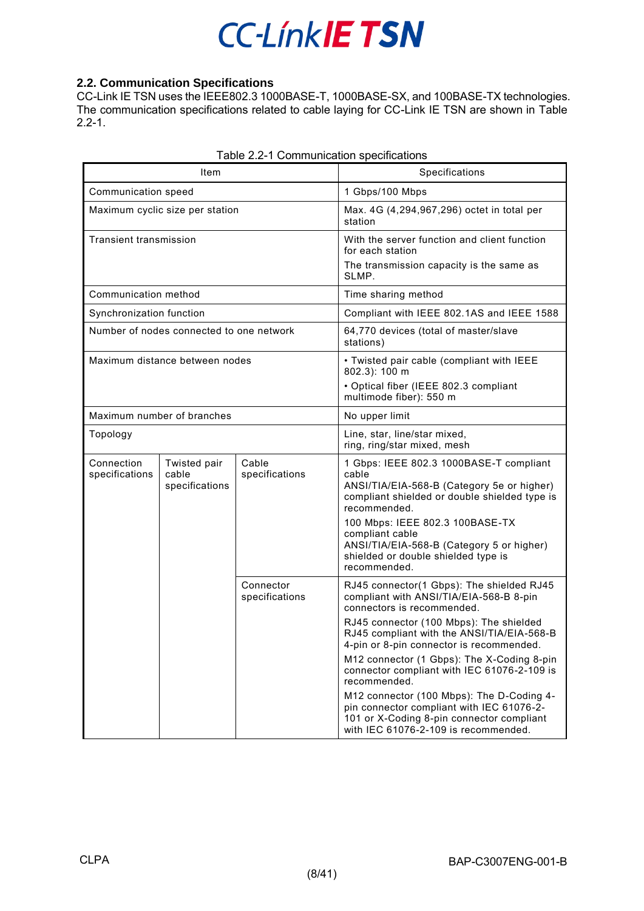### <span id="page-7-0"></span>**2.2. Communication Specifications**

CC-Link IE TSN uses the IEEE802.3 1000BASE-T, 1000BASE-SX, and 100BASE-TX technologies. The communication specifications related to cable laying for CC-Link IE TSN are shown in [Table](#page-7-1)  [2.2-1.](#page-7-1)

<span id="page-7-1"></span>

| Item                          |                                          |                             | Specifications                                                                                                                                                                                                                                                                                                                                                                                                                                                                                                                                      |  |  |
|-------------------------------|------------------------------------------|-----------------------------|-----------------------------------------------------------------------------------------------------------------------------------------------------------------------------------------------------------------------------------------------------------------------------------------------------------------------------------------------------------------------------------------------------------------------------------------------------------------------------------------------------------------------------------------------------|--|--|
|                               | Communication speed                      |                             | 1 Gbps/100 Mbps                                                                                                                                                                                                                                                                                                                                                                                                                                                                                                                                     |  |  |
|                               | Maximum cyclic size per station          |                             | Max. 4G (4,294,967,296) octet in total per<br>station                                                                                                                                                                                                                                                                                                                                                                                                                                                                                               |  |  |
| <b>Transient transmission</b> |                                          |                             | With the server function and client function<br>for each station<br>The transmission capacity is the same as<br>SLMP.                                                                                                                                                                                                                                                                                                                                                                                                                               |  |  |
| Communication method          |                                          |                             | Time sharing method                                                                                                                                                                                                                                                                                                                                                                                                                                                                                                                                 |  |  |
| Synchronization function      |                                          |                             | Compliant with IEEE 802.1AS and IEEE 1588                                                                                                                                                                                                                                                                                                                                                                                                                                                                                                           |  |  |
|                               | Number of nodes connected to one network |                             | 64,770 devices (total of master/slave<br>stations)                                                                                                                                                                                                                                                                                                                                                                                                                                                                                                  |  |  |
|                               | Maximum distance between nodes           |                             | • Twisted pair cable (compliant with IEEE<br>802.3): 100 m<br>• Optical fiber (IEEE 802.3 compliant<br>multimode fiber): 550 m                                                                                                                                                                                                                                                                                                                                                                                                                      |  |  |
|                               | Maximum number of branches               |                             | No upper limit                                                                                                                                                                                                                                                                                                                                                                                                                                                                                                                                      |  |  |
| Topology                      |                                          |                             | Line, star, line/star mixed,<br>ring, ring/star mixed, mesh                                                                                                                                                                                                                                                                                                                                                                                                                                                                                         |  |  |
| Connection<br>specifications  | Twisted pair<br>cable<br>specifications  | Cable<br>specifications     | 1 Gbps: IEEE 802.3 1000BASE-T compliant<br>cable<br>ANSI/TIA/EIA-568-B (Category 5e or higher)<br>compliant shielded or double shielded type is<br>recommended.<br>100 Mbps: IEEE 802.3 100BASE-TX<br>compliant cable<br>ANSI/TIA/EIA-568-B (Category 5 or higher)<br>shielded or double shielded type is<br>recommended.                                                                                                                                                                                                                           |  |  |
|                               |                                          | Connector<br>specifications | RJ45 connector(1 Gbps): The shielded RJ45<br>compliant with ANSI/TIA/EIA-568-B 8-pin<br>connectors is recommended.<br>RJ45 connector (100 Mbps): The shielded<br>RJ45 compliant with the ANSI/TIA/EIA-568-B<br>4-pin or 8-pin connector is recommended.<br>M12 connector (1 Gbps): The X-Coding 8-pin<br>connector compliant with IEC 61076-2-109 is<br>recommended.<br>M12 connector (100 Mbps): The D-Coding 4-<br>pin connector compliant with IEC 61076-2-<br>101 or X-Coding 8-pin connector compliant<br>with IEC 61076-2-109 is recommended. |  |  |

| Table 2.2-1 Communication specifications |
|------------------------------------------|
|------------------------------------------|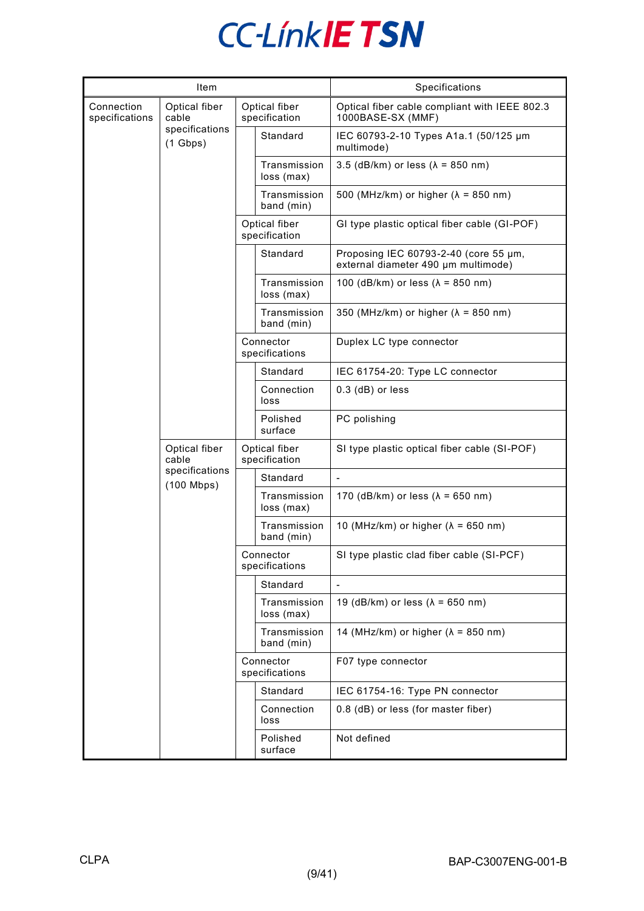|                              | Item                           |                                |                                | Specifications                                                               |
|------------------------------|--------------------------------|--------------------------------|--------------------------------|------------------------------------------------------------------------------|
| Connection<br>specifications | Optical fiber<br>cable         | Optical fiber<br>specification |                                | Optical fiber cable compliant with IEEE 802.3<br>1000BASE-SX (MMF)           |
|                              | specifications<br>$(1$ Gbps)   |                                | Standard                       | IEC 60793-2-10 Types A1a.1 (50/125 µm<br>multimode)                          |
|                              |                                |                                | Transmission<br>loss (max)     | 3.5 (dB/km) or less ( $\lambda$ = 850 nm)                                    |
|                              |                                |                                | Transmission<br>band (min)     | 500 (MHz/km) or higher ( $\lambda$ = 850 nm)                                 |
|                              |                                |                                | Optical fiber<br>specification | GI type plastic optical fiber cable (GI-POF)                                 |
|                              |                                |                                | Standard                       | Proposing IEC 60793-2-40 (core 55 µm,<br>external diameter 490 µm multimode) |
|                              |                                |                                | Transmission<br>loss (max)     | 100 (dB/km) or less ( $\lambda$ = 850 nm)                                    |
|                              |                                |                                | Transmission<br>band (min)     | 350 (MHz/km) or higher ( $\lambda$ = 850 nm)                                 |
|                              |                                |                                | Connector<br>specifications    | Duplex LC type connector                                                     |
|                              |                                |                                | Standard                       | IEC 61754-20: Type LC connector                                              |
|                              |                                |                                | Connection<br>loss             | $0.3$ (dB) or less                                                           |
|                              |                                |                                | Polished<br>surface            | PC polishing                                                                 |
|                              | Optical fiber<br>cable         | Optical fiber<br>specification |                                | SI type plastic optical fiber cable (SI-POF)                                 |
|                              | specifications<br>$(100$ Mbps) |                                | Standard                       | $\overline{\phantom{a}}$                                                     |
|                              |                                |                                | Transmission<br>loss (max)     | 170 (dB/km) or less ( $\lambda$ = 650 nm)                                    |
|                              |                                |                                | Transmission<br>band (min)     | 10 (MHz/km) or higher ( $\lambda$ = 650 nm)                                  |
|                              |                                |                                | Connector<br>specifications    | SI type plastic clad fiber cable (SI-PCF)                                    |
|                              |                                |                                | Standard                       |                                                                              |
|                              |                                |                                | Transmission<br>loss (max)     | 19 (dB/km) or less ( $\lambda$ = 650 nm)                                     |
|                              |                                |                                | Transmission<br>band (min)     | 14 (MHz/km) or higher ( $\lambda$ = 850 nm)                                  |
|                              |                                |                                | Connector<br>specifications    | F07 type connector                                                           |
|                              |                                |                                | Standard                       | IEC 61754-16: Type PN connector                                              |
|                              |                                |                                | Connection<br>loss             | 0.8 (dB) or less (for master fiber)                                          |
|                              |                                |                                | Polished<br>surface            | Not defined                                                                  |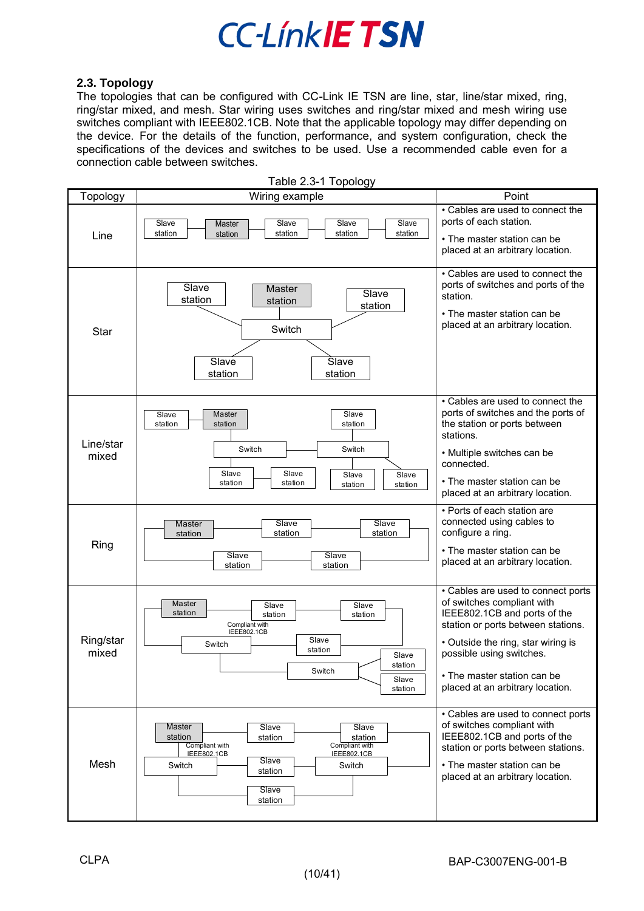### <span id="page-9-0"></span>**2.3. Topology**

The topologies that can be configured with CC-Link IE TSN are line, star, line/star mixed, ring, ring/star mixed, and mesh. Star wiring uses switches and ring/star mixed and mesh wiring use switches compliant with IEEE802.1CB. Note that the applicable topology may differ depending on the device. For the details of the function, performance, and system configuration, check the specifications of the devices and switches to be used. Use a recommended cable even for a connection cable between switches.

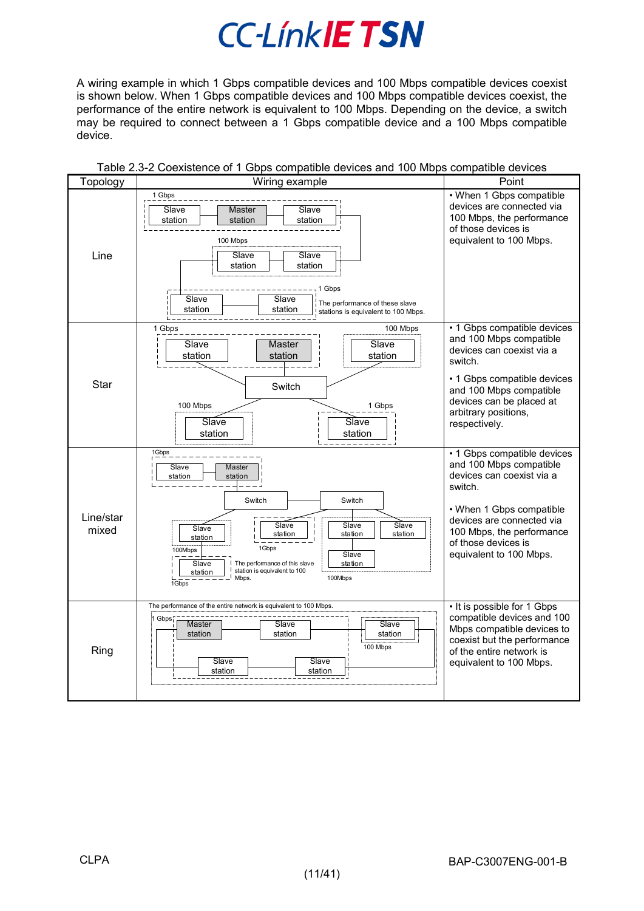A wiring example in which 1 Gbps compatible devices and 100 Mbps compatible devices coexist is shown below. When 1 Gbps compatible devices and 100 Mbps compatible devices coexist, the performance of the entire network is equivalent to 100 Mbps. Depending on the device, a switch may be required to connect between a 1 Gbps compatible device and a 100 Mbps compatible device.

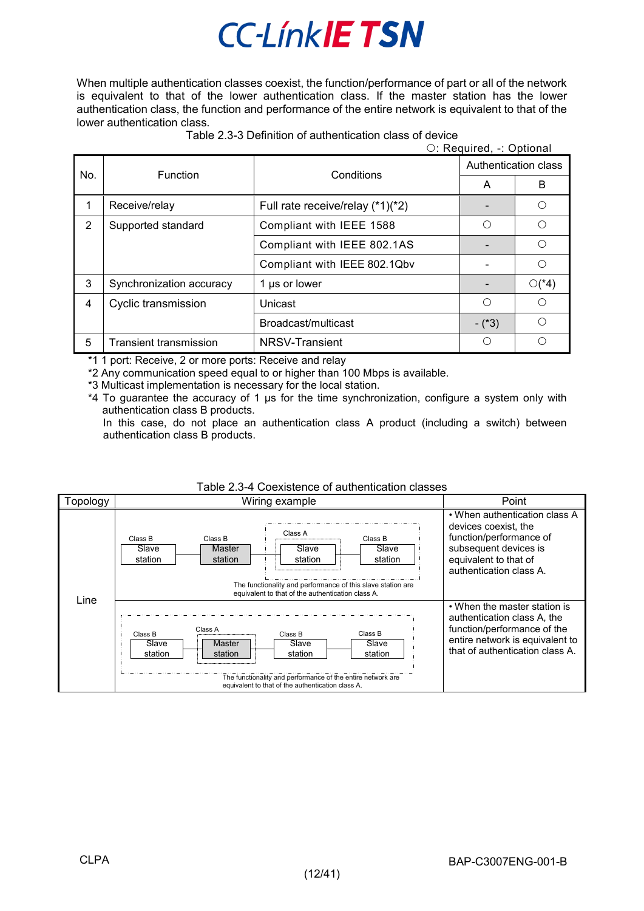When multiple authentication classes coexist, the function/performance of part or all of the network is equivalent to that of the lower authentication class. If the master station has the lower authentication class, the function and performance of the entire network is equivalent to that of the lower authentication class.

|     | O: Required, -: Optional   |                                  |                      |            |  |  |
|-----|----------------------------|----------------------------------|----------------------|------------|--|--|
|     |                            |                                  | Authentication class |            |  |  |
| No. |                            | <b>Function</b><br>Conditions    |                      | B          |  |  |
| 1   | Receive/relay              | Full rate receive/relay (*1)(*2) |                      |            |  |  |
| 2   | Supported standard         | Compliant with IEEE 1588         | ∩                    | ∩          |  |  |
|     |                            | Compliant with IEEE 802.1AS      |                      | ∩          |  |  |
|     |                            | Compliant with IEEE 802.1Qbv     |                      | ◯          |  |  |
| 3   | Synchronization accuracy   | 1 µs or lower                    |                      | $O(^{*}4)$ |  |  |
| 4   | <b>Cyclic transmission</b> | Unicast                          | ∩                    | ∩          |  |  |
|     |                            | Broadcast/multicast              | $-(*3)$              | ◯          |  |  |
| 5   | Transient transmission     | NRSV-Transient                   | O                    |            |  |  |

\*1 1 port: Receive, 2 or more ports: Receive and relay

\*2 Any communication speed equal to or higher than 100 Mbps is available.

\*3 Multicast implementation is necessary for the local station.

\*4 To guarantee the accuracy of 1 µs for the time synchronization, configure a system only with authentication class B products.

In this case, do not place an authentication class A product (including a switch) between authentication class B products.

| Table 2.0 <del>-4</del> OUCABIGHCC OF BUILIGHTGEOFF CR33C3 |                                                                                                                                                                                                                       |                                                                                                                                                               |                                                                                                                                                                  |  |  |  |
|------------------------------------------------------------|-----------------------------------------------------------------------------------------------------------------------------------------------------------------------------------------------------------------------|---------------------------------------------------------------------------------------------------------------------------------------------------------------|------------------------------------------------------------------------------------------------------------------------------------------------------------------|--|--|--|
| Topology                                                   | Wiring example                                                                                                                                                                                                        |                                                                                                                                                               | Point                                                                                                                                                            |  |  |  |
| Line                                                       | Class A<br>Class B<br>Class B<br>Slave<br>Master<br>Slave<br>station<br>station<br>station<br>The functionality and performance of this slave station are<br>equivalent to that of the authentication class A.        | • When authentication class A<br>devices coexist, the<br>function/performance of<br>subsequent devices is<br>equivalent to that of<br>authentication class A. |                                                                                                                                                                  |  |  |  |
|                                                            | Class A<br>Class B<br>Class B<br>Slave<br>Slave<br><b>Master</b><br>station<br>station<br>station<br>The functionality and performance of the entire network are<br>equivalent to that of the authentication class A. | Class B<br>Slave<br>station                                                                                                                                   | • When the master station is<br>authentication class A, the<br>function/performance of the<br>entire network is equivalent to<br>that of authentication class A. |  |  |  |

### Table 2.3-4 Coexistence of authentication classes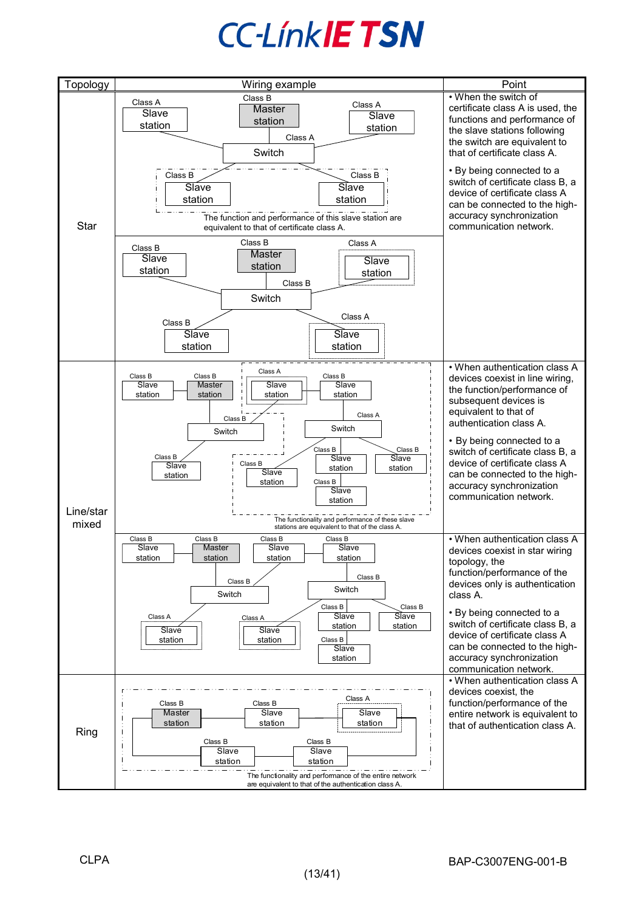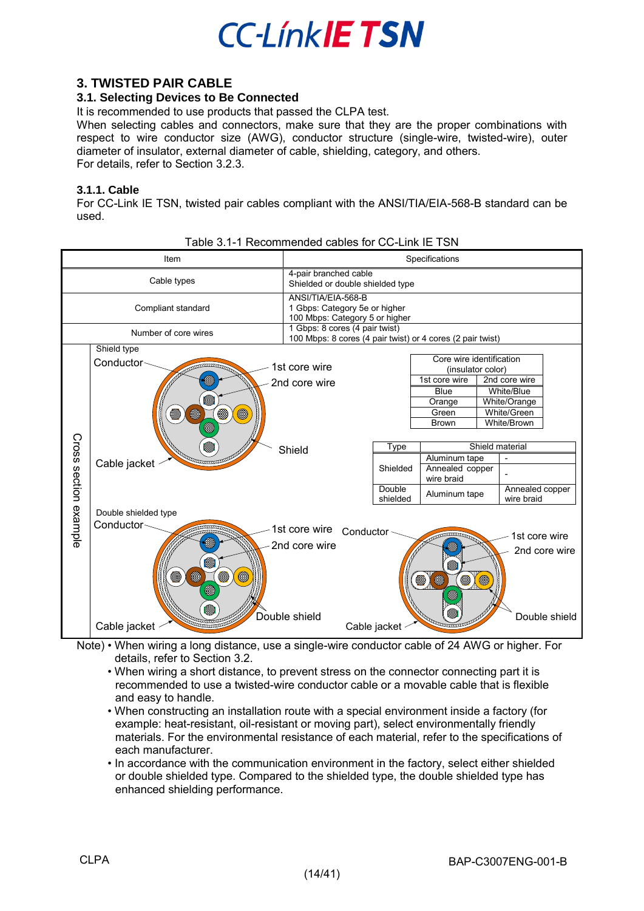

### <span id="page-13-0"></span>**3. TWISTED PAIR CABLE**

### <span id="page-13-1"></span>**3.1. Selecting Devices to Be Connected**

It is recommended to use products that passed the CLPA test.

When selecting cables and connectors, make sure that they are the proper combinations with respect to wire conductor size (AWG), conductor structure (single-wire, twisted-wire), outer diameter of insulator, external diameter of cable, shielding, category, and others. For details, refer to Section 3.2.3.

### <span id="page-13-2"></span>**3.1.1. Cable**

For CC-Link IE TSN, twisted pair cables compliant with the ANSI/TIA/EIA-568-B standard can be used.

|                       |                                                                                                   | Table 3.1-T Recommended cables for CC-Link IE T3N                                            |                                        |                                                                                                                                                                                     |                 |                                                                                                                              |                                |
|-----------------------|---------------------------------------------------------------------------------------------------|----------------------------------------------------------------------------------------------|----------------------------------------|-------------------------------------------------------------------------------------------------------------------------------------------------------------------------------------|-----------------|------------------------------------------------------------------------------------------------------------------------------|--------------------------------|
|                       | Item                                                                                              | Specifications                                                                               |                                        |                                                                                                                                                                                     |                 |                                                                                                                              |                                |
|                       | Cable types                                                                                       | 4-pair branched cable<br>Shielded or double shielded type                                    |                                        |                                                                                                                                                                                     |                 |                                                                                                                              |                                |
|                       | Compliant standard                                                                                | ANSI/TIA/EIA-568-B<br>1 Gbps: Category 5e or higher<br>100 Mbps: Category 5 or higher        |                                        |                                                                                                                                                                                     |                 |                                                                                                                              |                                |
|                       | Number of core wires                                                                              | 1 Gbps: 8 cores (4 pair twist)<br>100 Mbps: 8 cores (4 pair twist) or 4 cores (2 pair twist) |                                        |                                                                                                                                                                                     |                 |                                                                                                                              |                                |
| Cross section example | Shield type<br>Conductor-<br>▩<br>۵<br>۸<br>0<br>8<br>◎<br>▩<br>Cable jacket                      | 1st core wire<br>2nd core wire<br>Shield                                                     | Type<br>Shielded<br>Double<br>shielded | Core wire identification<br>(insulator color)<br>1st core wire<br><b>Blue</b><br>Orange<br>Green<br><b>Brown</b><br>Aluminum tape<br>Annealed copper<br>wire braid<br>Aluminum tape | Shield material | 2nd core wire<br>White/Blue<br>White/Orange<br>White/Green<br>White/Brown<br>$\blacksquare$<br>Annealed copper<br>wire braid |                                |
|                       | Double shielded type<br>Conductor~<br>G<br>▩<br>$\circledast$<br>۵<br>@<br>▩<br>⊜<br>Cable jacket | 1st core wire<br>2nd core wire<br>Double shield                                              | Conductor<br>Cable jacket              | ۸<br>Ø<br>@<br>6<br>0                                                                                                                                                               | ó               | 1st core wire                                                                                                                | 2nd core wire<br>Double shield |

Table 3.1-1 Recommended cables for CC-Link IE TSN

Note) • When wiring a long distance, use a single-wire conductor cable of 24 AWG or higher. For details, refer to Section 3.2.

• When wiring a short distance, to prevent stress on the connector connecting part it is recommended to use a twisted-wire conductor cable or a movable cable that is flexible and easy to handle.

- When constructing an installation route with a special environment inside a factory (for example: heat-resistant, oil-resistant or moving part), select environmentally friendly materials. For the environmental resistance of each material, refer to the specifications of each manufacturer.
- In accordance with the communication environment in the factory, select either shielded or double shielded type. Compared to the shielded type, the double shielded type has enhanced shielding performance.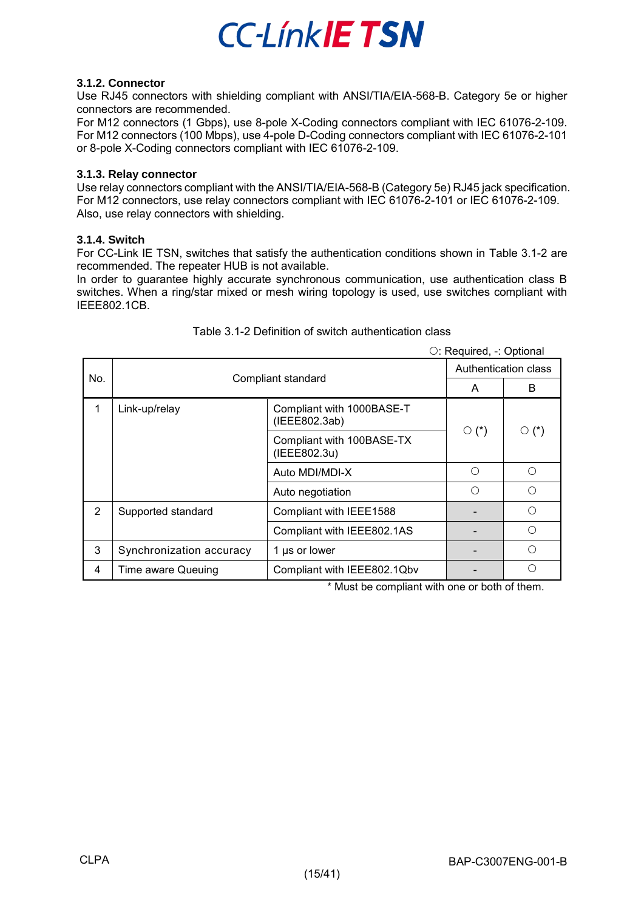

### <span id="page-14-0"></span>**3.1.2. Connector**

Use RJ45 connectors with shielding compliant with ANSI/TIA/EIA-568-B. Category 5e or higher connectors are recommended.

For M12 connectors (1 Gbps), use 8-pole X-Coding connectors compliant with IEC 61076-2-109. For M12 connectors (100 Mbps), use 4-pole D-Coding connectors compliant with IEC 61076-2-101 or 8-pole X-Coding connectors compliant with IEC 61076-2-109.

#### <span id="page-14-1"></span>**3.1.3. Relay connector**

Use relay connectors compliant with the ANSI/TIA/EIA-568-B (Category 5e) RJ45 jack specification. For M12 connectors, use relay connectors compliant with IEC 61076-2-101 or IEC 61076-2-109. Also, use relay connectors with shielding.

### <span id="page-14-2"></span>**3.1.4. Switch**

For CC-Link IE TSN, switches that satisfy the authentication conditions shown in [Table 3.1-2](#page-14-3) are recommended. The repeater HUB is not available.

In order to guarantee highly accurate synchronous communication, use authentication class B switches. When a ring/star mixed or mesh wiring topology is used, use switches compliant with IEEE802.1CB.

<span id="page-14-3"></span>

|   |                           |                                            | $\circ$ : Required, -: Optional |             |  |
|---|---------------------------|--------------------------------------------|---------------------------------|-------------|--|
|   | No.<br>Compliant standard |                                            | Authentication class            |             |  |
|   |                           |                                            | A                               | B           |  |
| 1 | Link-up/relay             | Compliant with 1000BASE-T<br>(IEEE802.3ab) | $\circ$ (*)                     | $\circ$ (*) |  |
|   |                           | Compliant with 100BASE-TX<br>(IEEE802.3u)  |                                 |             |  |
|   |                           | Auto MDI/MDI-X                             | ∩                               | ∩           |  |
|   |                           | Auto negotiation                           | ∩                               | ∩           |  |
| 2 | Supported standard        | Compliant with IEEE1588                    |                                 | ∩           |  |
|   |                           | Compliant with IEEE802.1AS                 |                                 | ∩           |  |
| 3 | Synchronization accuracy  | 1 µs or lower                              |                                 | ∩           |  |
| 4 | Time aware Queuing        | Compliant with IEEE802.1Qbv                |                                 |             |  |

### Table 3.1-2 Definition of switch authentication class

\* Must be compliant with one or both of them.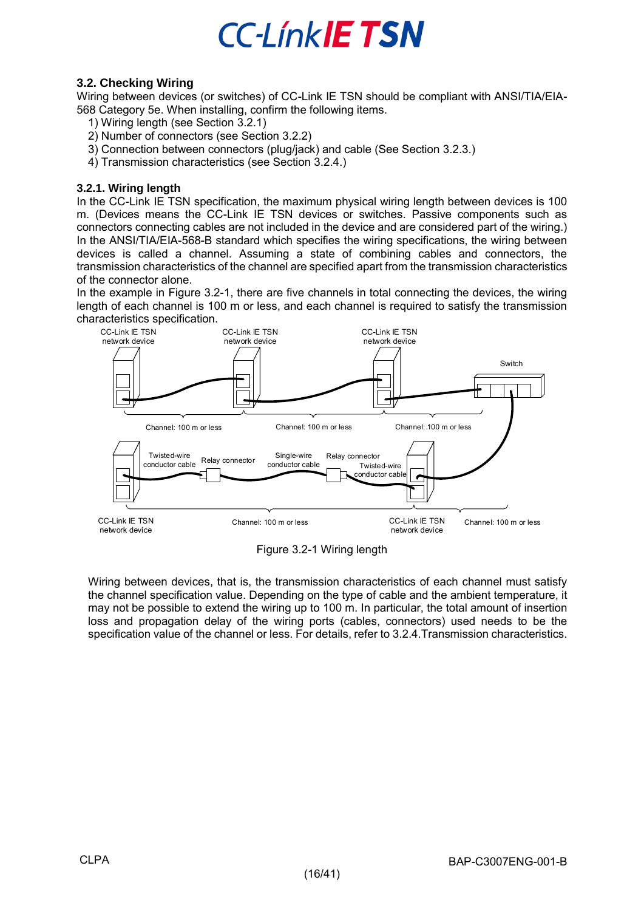

### <span id="page-15-0"></span>**3.2. Checking Wiring**

Wiring between devices (or switches) of CC-Link IE TSN should be compliant with ANSI/TIA/EIA-568 Category 5e. When installing, confirm the following items.

- 1) Wiring length (see Section 3.2.1)
- 2) Number of connectors (see Section 3.2.2)
- 3) Connection between connectors (plug/jack) and cable (See Section 3.2.3.)
- 4) Transmission characteristics (see Section 3.2.4.)

### <span id="page-15-1"></span>**3.2.1. Wiring length**

In the CC-Link IE TSN specification, the maximum physical wiring length between devices is 100 m. (Devices means the CC-Link IE TSN devices or switches. Passive components such as connectors connecting cables are not included in the device and are considered part of the wiring.) In the ANSI/TIA/EIA-568-B standard which specifies the wiring specifications, the wiring between devices is called a channel. Assuming a state of combining cables and connectors, the transmission characteristics of the channel are specified apart from the transmission characteristics of the connector alone.

In the example in [Figure 3.2-1,](#page-15-2) there are five channels in total connecting the devices, the wiring length of each channel is 100 m or less, and each channel is required to satisfy the transmission characteristics specification.



Figure 3.2-1 Wiring length

<span id="page-15-2"></span>Wiring between devices, that is, the transmission characteristics of each channel must satisfy the channel specification value. Depending on the type of cable and the ambient temperature, it may not be possible to extend the wiring up to 100 m. In particular, the total amount of insertion loss and propagation delay of the wiring ports (cables, connectors) used needs to be the specification value of the channel or less. For details, refer to 3.2.4.Transmission characteristics.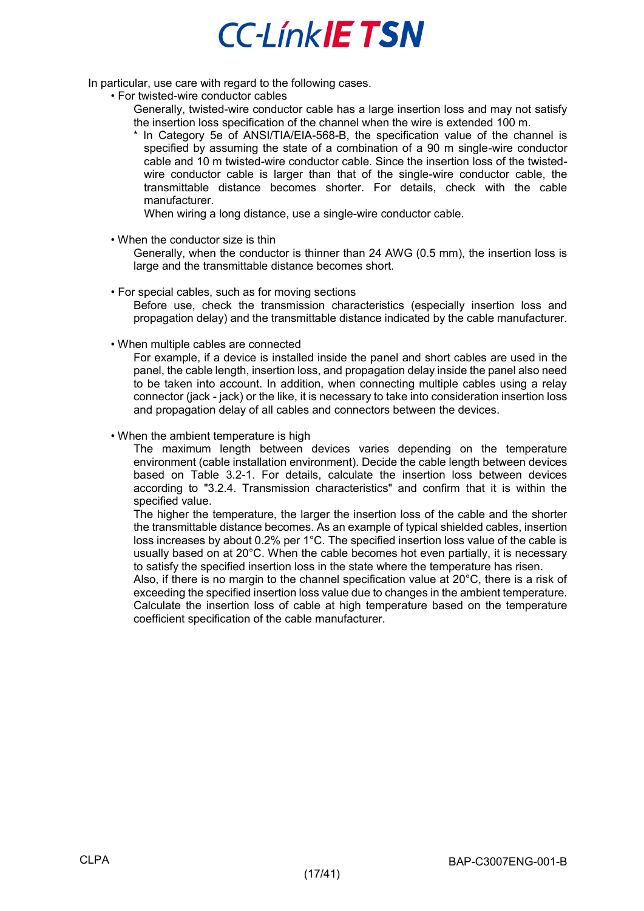In particular, use care with regard to the following cases.

• For twisted-wire conductor cables

Generally, twisted-wire conductor cable has a large insertion loss and may not satisfy the insertion loss specification of the channel when the wire is extended 100 m.

In Category 5e of ANSI/TIA/EIA-568-B, the specification value of the channel is specified by assuming the state of a combination of a 90 m single-wire conductor cable and 10 m twisted-wire conductor cable. Since the insertion loss of the twistedwire conductor cable is larger than that of the single-wire conductor cable, the transmittable distance becomes shorter. For details, check with the cable manufacturer.

When wiring a long distance, use a single-wire conductor cable.

• When the conductor size is thin

Generally, when the conductor is thinner than 24 AWG (0.5 mm), the insertion loss is large and the transmittable distance becomes short.

- For special cables, such as for moving sections Before use, check the transmission characteristics (especially insertion loss and propagation delay) and the transmittable distance indicated by the cable manufacturer.
- When multiple cables are connected

For example, if a device is installed inside the panel and short cables are used in the panel, the cable length, insertion loss, and propagation delay inside the panel also need to be taken into account. In addition, when connecting multiple cables using a relay connector (jack - jack) or the like, it is necessary to take into consideration insertion loss and propagation delay of all cables and connectors between the devices.

• When the ambient temperature is high

The maximum length between devices varies depending on the temperature environment (cable installation environment). Decide the cable length between devices based on [Table 3.2-1.](#page-17-3) For details, calculate the insertion loss between devices according to "3.2.4. Transmission characteristics" and confirm that it is within the specified value.

The higher the temperature, the larger the insertion loss of the cable and the shorter the transmittable distance becomes. As an example of typical shielded cables, insertion loss increases by about 0.2% per 1°C. The specified insertion loss value of the cable is usually based on at 20°C. When the cable becomes hot even partially, it is necessary to satisfy the specified insertion loss in the state where the temperature has risen.

Also, if there is no margin to the channel specification value at 20°C, there is a risk of exceeding the specified insertion loss value due to changes in the ambient temperature. Calculate the insertion loss of cable at high temperature based on the temperature coefficient specification of the cable manufacturer.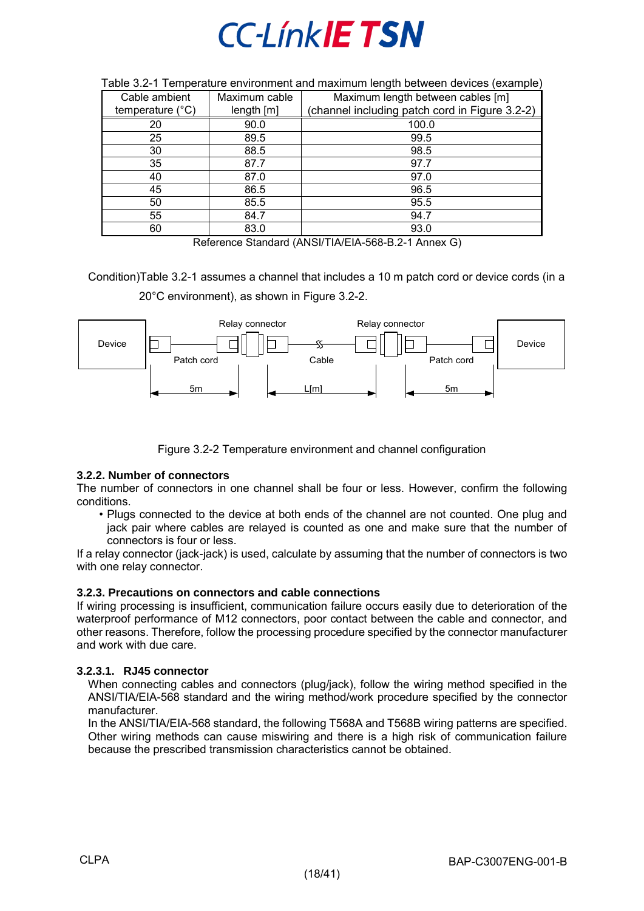| Cable ambient             | Maximum cable | Maximum length between cables [m]              |
|---------------------------|---------------|------------------------------------------------|
| temperature $(^{\circ}C)$ | length[m]     | (channel including patch cord in Figure 3.2-2) |
| 20                        | 90.0          | 100.0                                          |
| 25                        | 89.5          | 99.5                                           |
| 30                        | 88.5          | 98.5                                           |
| 35                        | 87.7          | 97.7                                           |
| 40                        | 87.0          | 97.0                                           |
| 45                        | 86.5          | 96.5                                           |
| 50                        | 85.5          | 95.5                                           |
| 55                        | 84.7          | 94.7                                           |
| 60                        | 83.0          | 93.0                                           |

#### <span id="page-17-3"></span>Table 3.2-1 Temperature environment and maximum length between devices (example)

Reference Standard (ANSI/TIA/EIA-568-B.2-1 Annex G)

Condition[\)Table 3.2-1](#page-17-3) assumes a channel that includes a 10 m patch cord or device cords (in a 20°C environment), as shown in [Figure 3.2-2.](#page-17-4)



Figure 3.2-2 Temperature environment and channel configuration

### <span id="page-17-4"></span><span id="page-17-0"></span>**3.2.2. Number of connectors**

The number of connectors in one channel shall be four or less. However, confirm the following conditions.

• Plugs connected to the device at both ends of the channel are not counted. One plug and jack pair where cables are relayed is counted as one and make sure that the number of connectors is four or less.

If a relay connector (jack-jack) is used, calculate by assuming that the number of connectors is two with one relay connector.

#### <span id="page-17-1"></span>**3.2.3. Precautions on connectors and cable connections**

If wiring processing is insufficient, communication failure occurs easily due to deterioration of the waterproof performance of M12 connectors, poor contact between the cable and connector, and other reasons. Therefore, follow the processing procedure specified by the connector manufacturer and work with due care.

### **3.2.3.1. RJ45 connector**

<span id="page-17-2"></span>When connecting cables and connectors (plug/jack), follow the wiring method specified in the ANSI/TIA/EIA-568 standard and the wiring method/work procedure specified by the connector manufacturer.

In the ANSI/TIA/EIA-568 standard, the following T568A and T568B wiring patterns are specified. Other wiring methods can cause miswiring and there is a high risk of communication failure because the prescribed transmission characteristics cannot be obtained.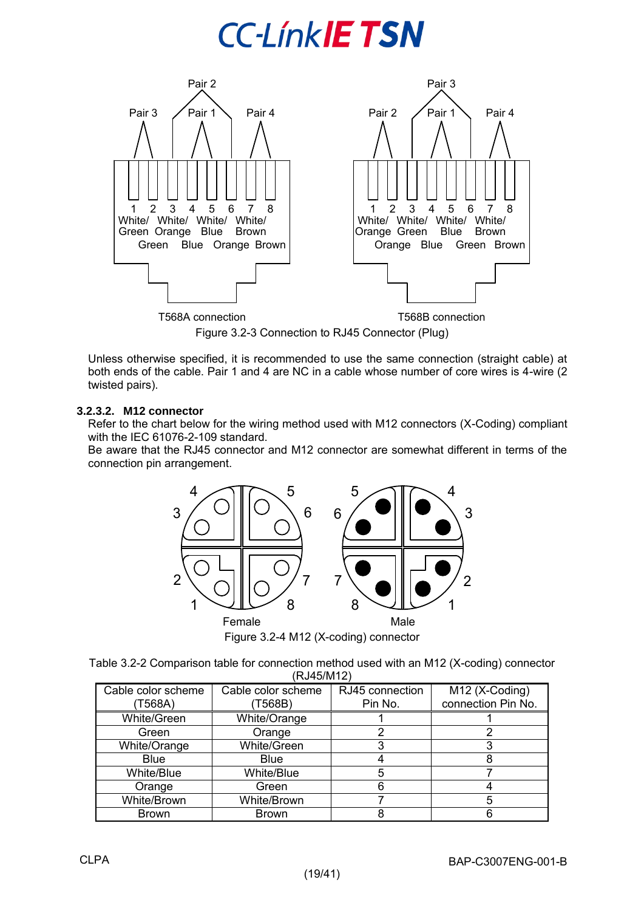

Figure 3.2-3 Connection to RJ45 Connector (Plug)

Unless otherwise specified, it is recommended to use the same connection (straight cable) at both ends of the cable. Pair 1 and 4 are NC in a cable whose number of core wires is 4-wire (2 twisted pairs).

### **3.2.3.2. M12 connector**

<span id="page-18-0"></span>Refer to the chart below for the wiring method used with M12 connectors (X-Coding) compliant with the IEC 61076-2-109 standard.

Be aware that the RJ45 connector and M12 connector are somewhat different in terms of the connection pin arrangement.



| Table 3.2-2 Comparison table for connection method used with an M12 (X-coding) connector |  |
|------------------------------------------------------------------------------------------|--|
| (RJ45/M12)                                                                               |  |

| Cable color scheme | Cable color scheme | RJ45 connection | M12 (X-Coding)     |
|--------------------|--------------------|-----------------|--------------------|
| T568A)             | (T568B)            | Pin No.         | connection Pin No. |
| White/Green        | White/Orange       |                 |                    |
| Green              | Orange             |                 |                    |
| White/Orange       | White/Green        |                 |                    |
| <b>Blue</b>        | <b>Blue</b>        |                 |                    |
| White/Blue         | White/Blue         |                 |                    |
| Orange             | Green              |                 |                    |
| White/Brown        | White/Brown        |                 |                    |
| <b>Brown</b>       | <b>Brown</b>       |                 |                    |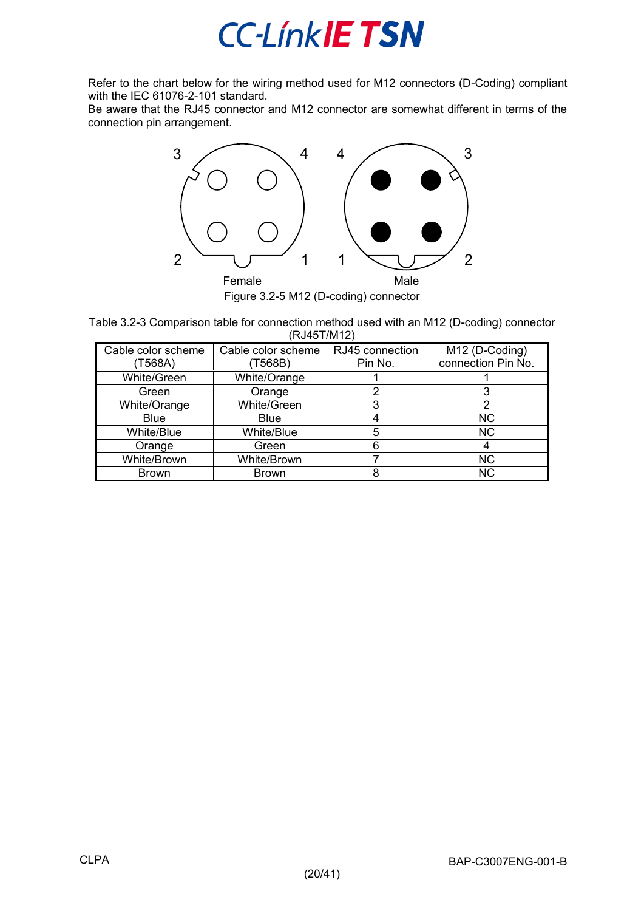

Refer to the chart below for the wiring method used for M12 connectors (D-Coding) compliant with the IEC 61076-2-101 standard.

Be aware that the RJ45 connector and M12 connector are somewhat different in terms of the connection pin arrangement.



Table 3.2-3 Comparison table for connection method used with an M12 (D-coding) connector (RJ45T/M12)

| Cable color scheme | Cable color scheme | RJ45 connection | M12 (D-Coding)     |
|--------------------|--------------------|-----------------|--------------------|
| T568A)             | T568B)             | Pin No.         | connection Pin No. |
| White/Green        | White/Orange       |                 |                    |
| Green              | Orange             |                 |                    |
| White/Orange       | White/Green        |                 | າ                  |
| <b>Blue</b>        | <b>Blue</b>        |                 | <b>NC</b>          |
| White/Blue         | White/Blue         | 5               | <b>NC</b>          |
| Orange             | Green              | հ               | 4                  |
| White/Brown        | White/Brown        |                 | <b>NC</b>          |
| <b>Brown</b>       | <b>Brown</b>       |                 | ΝC                 |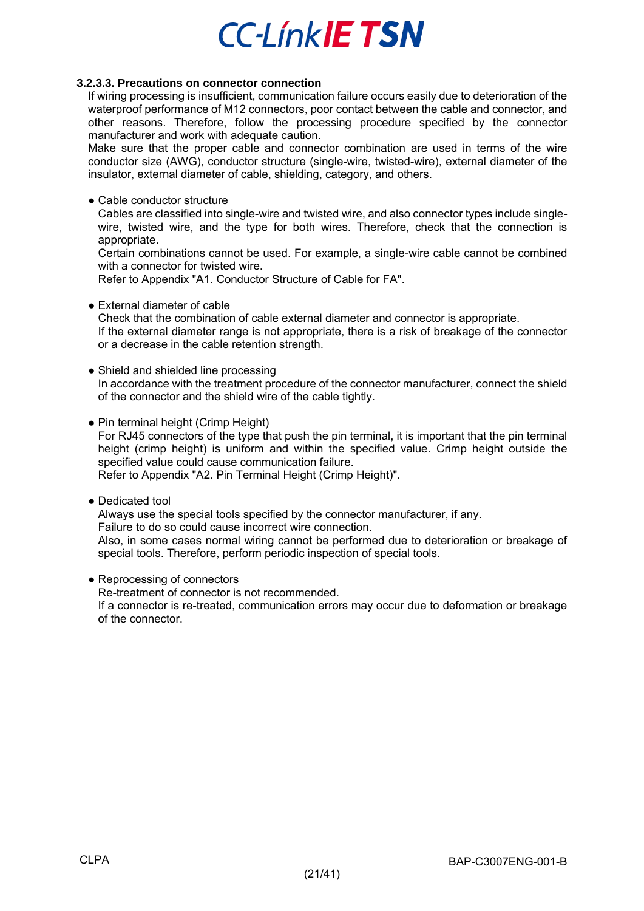### <span id="page-20-0"></span>**3.2.3.3. Precautions on connector connection**

If wiring processing is insufficient, communication failure occurs easily due to deterioration of the waterproof performance of M12 connectors, poor contact between the cable and connector, and other reasons. Therefore, follow the processing procedure specified by the connector manufacturer and work with adequate caution.

Make sure that the proper cable and connector combination are used in terms of the wire conductor size (AWG), conductor structure (single-wire, twisted-wire), external diameter of the insulator, external diameter of cable, shielding, category, and others.

### ● Cable conductor structure

Cables are classified into single-wire and twisted wire, and also connector types include singlewire, twisted wire, and the type for both wires. Therefore, check that the connection is appropriate.

Certain combinations cannot be used. For example, a single-wire cable cannot be combined with a connector for twisted wire.

Refer to Appendix "A1. Conductor Structure of Cable for FA".

● External diameter of cable

Check that the combination of cable external diameter and connector is appropriate. If the external diameter range is not appropriate, there is a risk of breakage of the connector or a decrease in the cable retention strength.

- Shield and shielded line processing In accordance with the treatment procedure of the connector manufacturer, connect the shield of the connector and the shield wire of the cable tightly.
- Pin terminal height (Crimp Height) For RJ45 connectors of the type that push the pin terminal, it is important that the pin terminal height (crimp height) is uniform and within the specified value. Crimp height outside the specified value could cause communication failure. Refer to Appendix "A2. Pin Terminal Height (Crimp Height)".
- Dedicated tool

Always use the special tools specified by the connector manufacturer, if any.

Failure to do so could cause incorrect wire connection.

Also, in some cases normal wiring cannot be performed due to deterioration or breakage of special tools. Therefore, perform periodic inspection of special tools.

● Reprocessing of connectors

Re-treatment of connector is not recommended.

If a connector is re-treated, communication errors may occur due to deformation or breakage of the connector.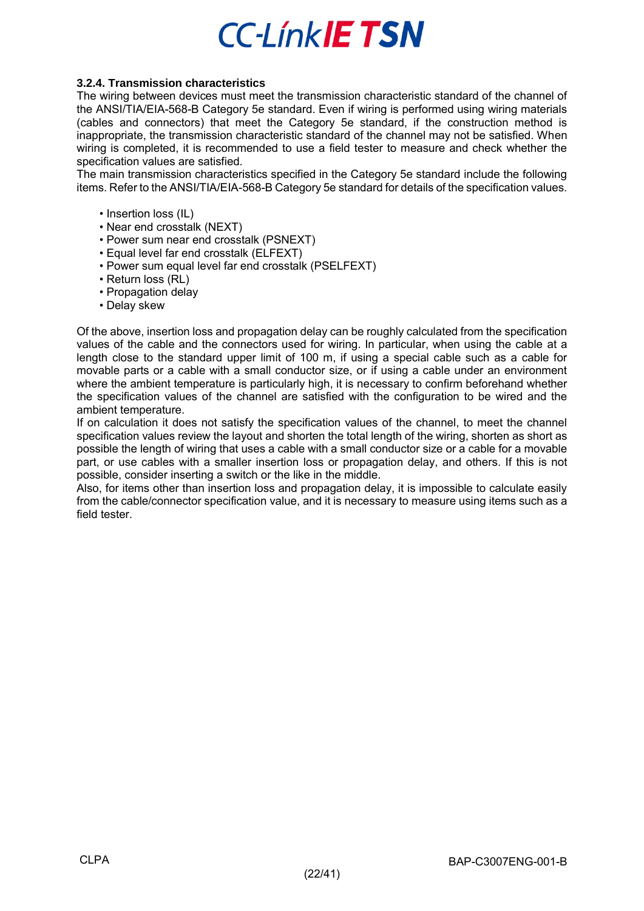### <span id="page-21-0"></span>**3.2.4. Transmission characteristics**

The wiring between devices must meet the transmission characteristic standard of the channel of the ANSI/TIA/EIA-568-B Category 5e standard. Even if wiring is performed using wiring materials (cables and connectors) that meet the Category 5e standard, if the construction method is inappropriate, the transmission characteristic standard of the channel may not be satisfied. When wiring is completed, it is recommended to use a field tester to measure and check whether the specification values are satisfied.

The main transmission characteristics specified in the Category 5e standard include the following items. Refer to the ANSI/TIA/EIA-568-B Category 5e standard for details of the specification values.

- Insertion loss (IL)
- Near end crosstalk (NEXT)
- Power sum near end crosstalk (PSNEXT)
- Equal level far end crosstalk (ELFEXT)
- Power sum equal level far end crosstalk (PSELFEXT)
- Return loss (RL)
- Propagation delay
- Delay skew

Of the above, insertion loss and propagation delay can be roughly calculated from the specification values of the cable and the connectors used for wiring. In particular, when using the cable at a length close to the standard upper limit of 100 m, if using a special cable such as a cable for movable parts or a cable with a small conductor size, or if using a cable under an environment where the ambient temperature is particularly high, it is necessary to confirm beforehand whether the specification values of the channel are satisfied with the configuration to be wired and the ambient temperature.

If on calculation it does not satisfy the specification values of the channel, to meet the channel specification values review the layout and shorten the total length of the wiring, shorten as short as possible the length of wiring that uses a cable with a small conductor size or a cable for a movable part, or use cables with a smaller insertion loss or propagation delay, and others. If this is not possible, consider inserting a switch or the like in the middle.

Also, for items other than insertion loss and propagation delay, it is impossible to calculate easily from the cable/connector specification value, and it is necessary to measure using items such as a field tester.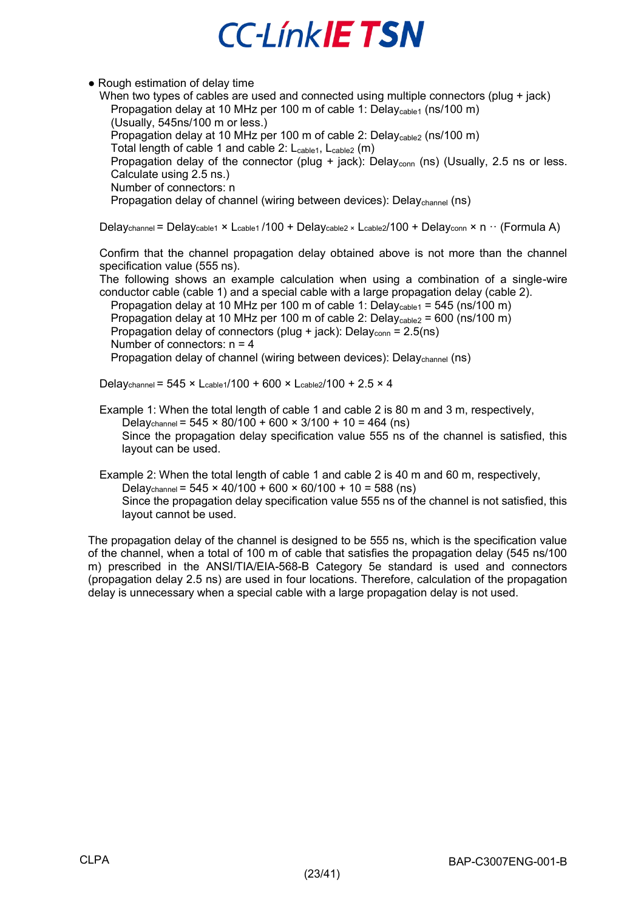### • Rough estimation of delay time

When two types of cables are used and connected using multiple connectors (plug + jack) Propagation delay at 10 MHz per 100 m of cable 1: Delay<sub>cable1</sub> (ns/100 m) (Usually, 545ns/100 m or less.) Propagation delay at 10 MHz per 100 m of cable 2: Delaycable2 (ns/100 m) Total length of cable 1 and cable 2: L<sub>cable1</sub>, L<sub>cable2</sub> (m) Propagation delay of the connector (plug + jack): Delay<sub>conn</sub> (ns) (Usually, 2.5 ns or less. Calculate using 2.5 ns.) Number of connectors: n

Propagation delay of channel (wiring between devices): Delaychannel (ns)

Delaychannel = Delaycable1 × Lcable1 /100 + Delaycable2 × Lcable2/100 + Delayconn × n ·· (Formula A)

Confirm that the channel propagation delay obtained above is not more than the channel specification value (555 ns).

The following shows an example calculation when using a combination of a single-wire conductor cable (cable 1) and a special cable with a large propagation delay (cable 2).

Propagation delay at 10 MHz per 100 m of cable 1: Delay<sub>cable1</sub> = 545 (ns/100 m) Propagation delay at 10 MHz per 100 m of cable 2: Delay<sub>cable2</sub> = 600 (ns/100 m) Propagation delay of connectors (plug + jack): Delay<sub>conn</sub> =  $2.5$ (ns) Number of connectors:  $n = 4$ 

Propagation delay of channel (wiring between devices): Delaychannel (ns)

Delaychannel = 545 × Lcable1/100 + 600 × Lcable2/100 + 2.5 × 4

Example 1: When the total length of cable 1 and cable 2 is 80 m and 3 m, respectively, Delaychannel =  $545 \times 80/100 + 600 \times 3/100 + 10 = 464$  (ns) Since the propagation delay specification value 555 ns of the channel is satisfied, this layout can be used.

Example 2: When the total length of cable 1 and cable 2 is 40 m and 60 m, respectively,

Delaychannel =  $545 \times 40/100 + 600 \times 60/100 + 10 = 588$  (ns)

Since the propagation delay specification value 555 ns of the channel is not satisfied, this layout cannot be used.

The propagation delay of the channel is designed to be 555 ns, which is the specification value of the channel, when a total of 100 m of cable that satisfies the propagation delay (545 ns/100 m) prescribed in the ANSI/TIA/EIA-568-B Category 5e standard is used and connectors (propagation delay 2.5 ns) are used in four locations. Therefore, calculation of the propagation delay is unnecessary when a special cable with a large propagation delay is not used.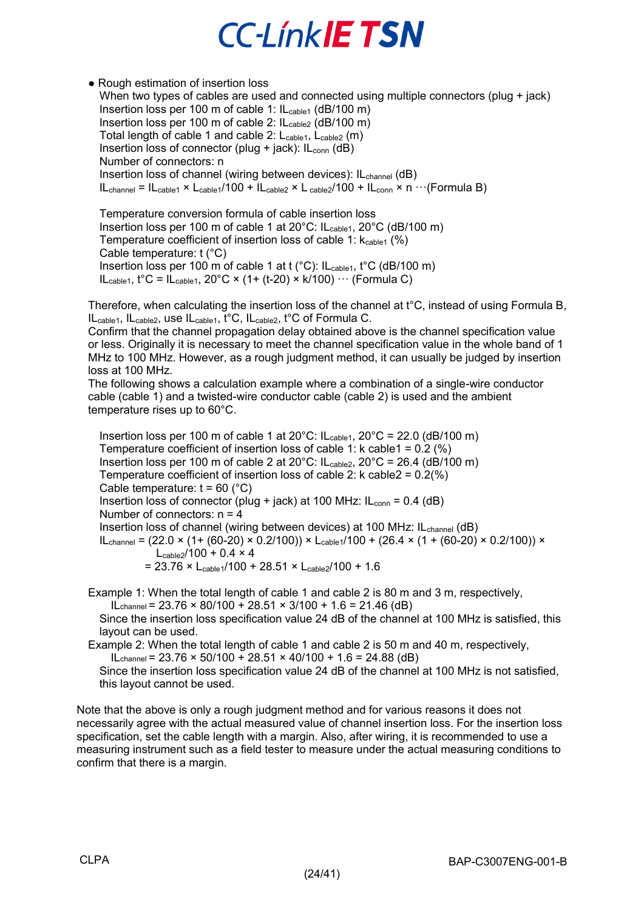#### • Rough estimation of insertion loss When two types of cables are used and connected using multiple connectors (plug + jack) Insertion loss per 100 m of cable 1: IL<sub>cable1</sub> (dB/100 m) Insertion loss per 100 m of cable 2: IL<sub>cable2</sub> (dB/100 m) Total length of cable 1 and cable 2: L<sub>cable1</sub>, L<sub>cable2</sub> (m) Insertion loss of connector (plug + jack):  $IL_{conn}$  (dB) Number of connectors: n Insertion loss of channel (wiring between devices): IL<sub>channel</sub> (dB)  $IL_{channel} = IL_{cable1} \times L_{cable1}/100 + IL_{cable2} \times L_{cable2}/100 + IL_{conn} \times n \cdots (Formula B)$

Temperature conversion formula of cable insertion loss Insertion loss per 100 m of cable 1 at 20°C: ILcable1, 20°C (dB/100 m) Temperature coefficient of insertion loss of cable 1:  $k_{\text{cable1}}$  (%) Cable temperature: t (°C) Insertion loss per 100 m of cable 1 at t (°C): IL<sub>cable1</sub>, t°C (dB/100 m)  $IL_{cable1}$ ,  $t^{\circ}C = IL_{cable1}$ ,  $20^{\circ}C \times (1 + (t-20) \times k/100) \cdots$  (Formula C)

Therefore, when calculating the insertion loss of the channel at t°C, instead of using Formula B, ILcable1, ILcable2, use ILcable1, t°C, ILcable2, t°C of Formula C.

Confirm that the channel propagation delay obtained above is the channel specification value or less. Originally it is necessary to meet the channel specification value in the whole band of 1 MHz to 100 MHz. However, as a rough judgment method, it can usually be judged by insertion loss at 100 MHz.

The following shows a calculation example where a combination of a single-wire conductor cable (cable 1) and a twisted-wire conductor cable (cable 2) is used and the ambient temperature rises up to 60°C.

Insertion loss per 100 m of cable 1 at 20 $^{\circ}$ C: IL<sub>cable1</sub>, 20 $^{\circ}$ C = 22.0 (dB/100 m) Temperature coefficient of insertion loss of cable 1: k cable  $1 = 0.2$  (%) Insertion loss per 100 m of cable 2 at 20 $^{\circ}$ C: ILcable2, 20 $^{\circ}$ C = 26.4 (dB/100 m) Temperature coefficient of insertion loss of cable 2: k cable  $2 = 0.2$ (%) Cable temperature:  $t = 60$  ( $^{\circ}$ C) Insertion loss of connector (plug + jack) at 100 MHz:  $IL_{conn} = 0.4$  (dB) Number of connectors:  $n = 4$ Insertion loss of channel (wiring between devices) at 100 MHz: IL<sub>channel</sub> (dB)  $I_{\text{Channel}} = (22.0 \times (1 + (60-20) \times 0.2/100)) \times L_{\text{cable}1}/100 + (26.4 \times (1 + (60-20) \times 0.2/100)) \times$  $L_{\text{cable2}}/100 + 0.4 \times 4$  $= 23.76 \times L_{cable1}/100 + 28.51 \times L_{cable2}/100 + 1.6$ 

Example 1: When the total length of cable 1 and cable 2 is 80 m and 3 m, respectively, ILchannel =  $23.76 \times 80/100 + 28.51 \times 3/100 + 1.6 = 21.46$  (dB)

Since the insertion loss specification value 24 dB of the channel at 100 MHz is satisfied, this layout can be used.

Example 2: When the total length of cable 1 and cable 2 is 50 m and 40 m, respectively,

 $IL$ channel = 23.76  $\times$  50/100 + 28.51  $\times$  40/100 + 1.6 = 24.88 (dB)

Since the insertion loss specification value 24 dB of the channel at 100 MHz is not satisfied, this layout cannot be used.

Note that the above is only a rough judgment method and for various reasons it does not necessarily agree with the actual measured value of channel insertion loss. For the insertion loss specification, set the cable length with a margin. Also, after wiring, it is recommended to use a measuring instrument such as a field tester to measure under the actual measuring conditions to confirm that there is a margin.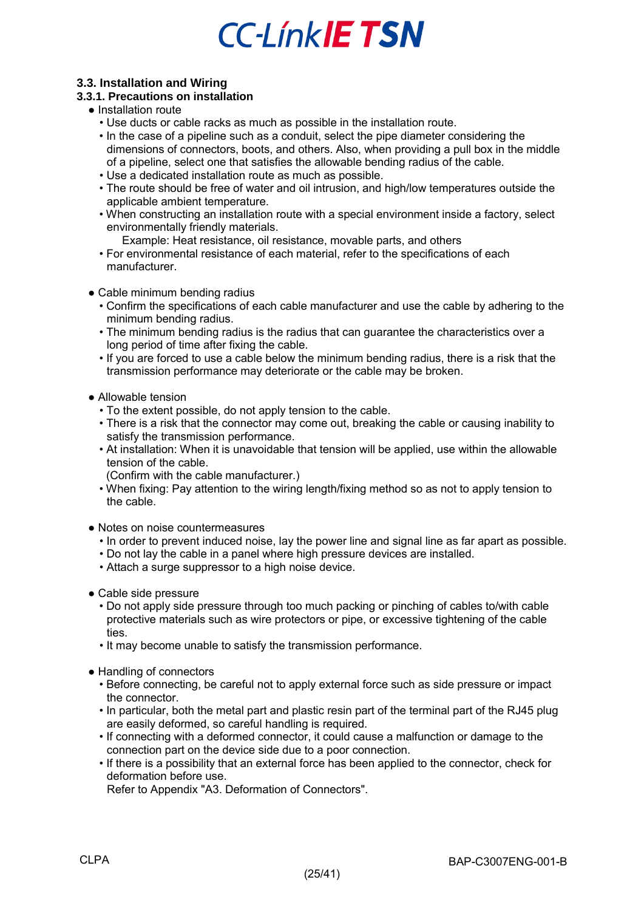### <span id="page-24-0"></span>**3.3. Installation and Wiring**

### <span id="page-24-1"></span>**3.3.1. Precautions on installation**

- Installation route
	- Use ducts or cable racks as much as possible in the installation route.
	- In the case of a pipeline such as a conduit, select the pipe diameter considering the dimensions of connectors, boots, and others. Also, when providing a pull box in the middle of a pipeline, select one that satisfies the allowable bending radius of the cable.
	- Use a dedicated installation route as much as possible.
	- The route should be free of water and oil intrusion, and high/low temperatures outside the applicable ambient temperature.
	- When constructing an installation route with a special environment inside a factory, select environmentally friendly materials.
		- Example: Heat resistance, oil resistance, movable parts, and others
	- For environmental resistance of each material, refer to the specifications of each manufacturer.
- Cable minimum bending radius
	- Confirm the specifications of each cable manufacturer and use the cable by adhering to the minimum bending radius.
	- The minimum bending radius is the radius that can guarantee the characteristics over a long period of time after fixing the cable.
	- If you are forced to use a cable below the minimum bending radius, there is a risk that the transmission performance may deteriorate or the cable may be broken.
- Allowable tension
	- To the extent possible, do not apply tension to the cable.
	- There is a risk that the connector may come out, breaking the cable or causing inability to satisfy the transmission performance.
	- At installation: When it is unavoidable that tension will be applied, use within the allowable tension of the cable.
	- (Confirm with the cable manufacturer.)
	- When fixing: Pay attention to the wiring length/fixing method so as not to apply tension to the cable.
- Notes on noise countermeasures
	- In order to prevent induced noise, lay the power line and signal line as far apart as possible.
	- Do not lay the cable in a panel where high pressure devices are installed.
	- Attach a surge suppressor to a high noise device.
- Cable side pressure
	- Do not apply side pressure through too much packing or pinching of cables to/with cable protective materials such as wire protectors or pipe, or excessive tightening of the cable ties.
	- It may become unable to satisfy the transmission performance.
- Handling of connectors
	- Before connecting, be careful not to apply external force such as side pressure or impact the connector.
	- In particular, both the metal part and plastic resin part of the terminal part of the RJ45 plug are easily deformed, so careful handling is required.
	- If connecting with a deformed connector, it could cause a malfunction or damage to the connection part on the device side due to a poor connection.
	- If there is a possibility that an external force has been applied to the connector, check for deformation before use.
	- Refer to Appendix "A3. Deformation of Connectors".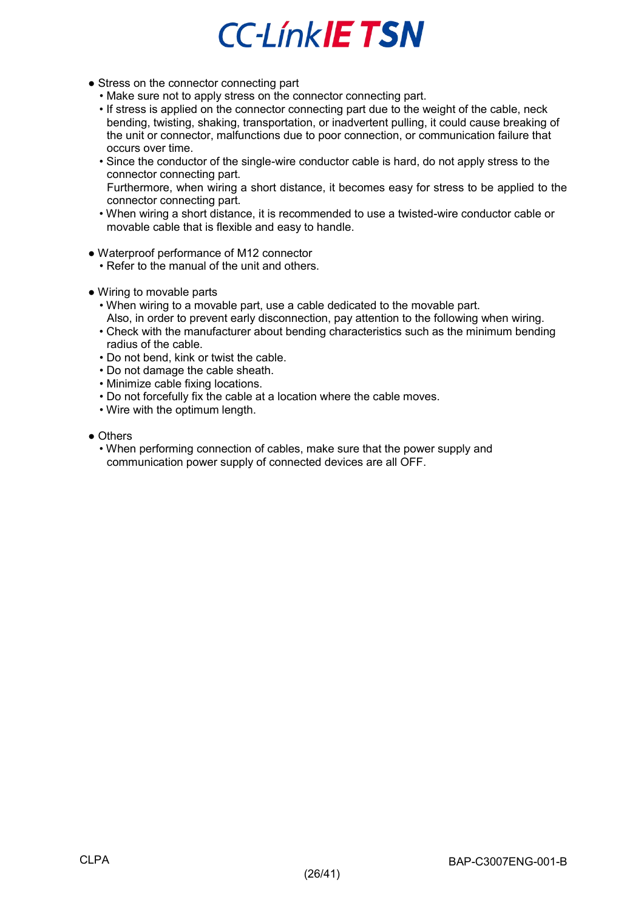- Stress on the connector connecting part
	- Make sure not to apply stress on the connector connecting part.
	- If stress is applied on the connector connecting part due to the weight of the cable, neck bending, twisting, shaking, transportation, or inadvertent pulling, it could cause breaking of the unit or connector, malfunctions due to poor connection, or communication failure that occurs over time.
	- Since the conductor of the single-wire conductor cable is hard, do not apply stress to the connector connecting part.
	- Furthermore, when wiring a short distance, it becomes easy for stress to be applied to the connector connecting part.
	- When wiring a short distance, it is recommended to use a twisted-wire conductor cable or movable cable that is flexible and easy to handle.
- Waterproof performance of M12 connector
	- Refer to the manual of the unit and others.
- Wiring to movable parts
	- When wiring to a movable part, use a cable dedicated to the movable part. Also, in order to prevent early disconnection, pay attention to the following when wiring.
	- Check with the manufacturer about bending characteristics such as the minimum bending radius of the cable.
	- Do not bend, kink or twist the cable.
	- Do not damage the cable sheath.
	- Minimize cable fixing locations.
	- Do not forcefully fix the cable at a location where the cable moves.
	- Wire with the optimum length.
- Others
	- When performing connection of cables, make sure that the power supply and communication power supply of connected devices are all OFF.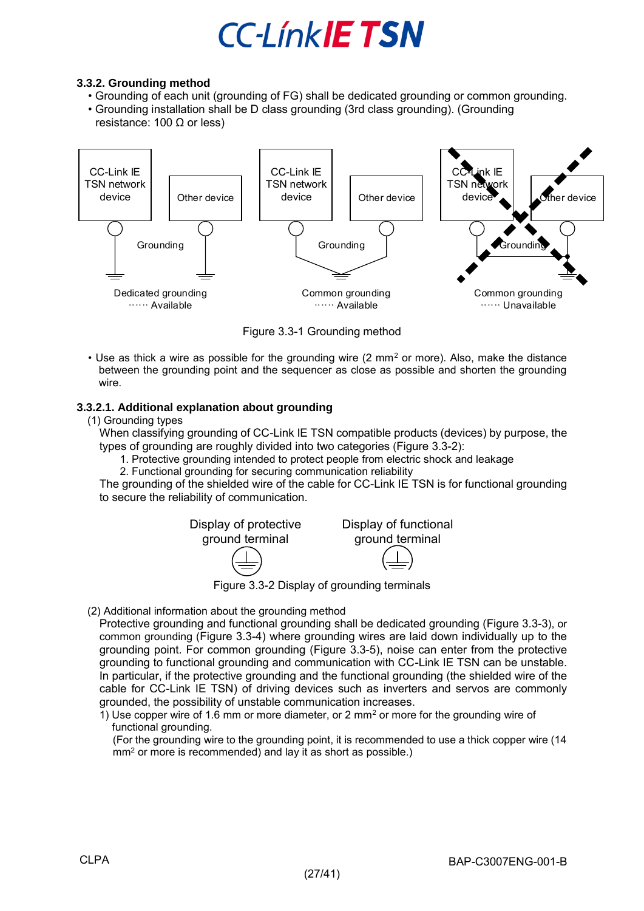### <span id="page-26-0"></span>**3.3.2. Grounding method**

- Grounding of each unit (grounding of FG) shall be dedicated grounding or common grounding.
- Grounding installation shall be D class grounding (3rd class grounding). (Grounding resistance: 100 Ω or less)



Figure 3.3-1 Grounding method

• Use as thick a wire as possible for the grounding wire (2 mm<sup>2</sup> or more). Also, make the distance between the grounding point and the sequencer as close as possible and shorten the grounding wire.

### <span id="page-26-1"></span>**3.3.2.1. Additional explanation about grounding**

(1) Grounding types

When classifying grounding of CC-Link IE TSN compatible products (devices) by purpose, the types of grounding are roughly divided into two categories ([Figure 3.3-2](#page-26-2)):

- 1. Protective grounding intended to protect people from electric shock and leakage
- 2. Functional grounding for securing communication reliability

The grounding of the shielded wire of the cable for CC-Link IE TSN is for functional grounding to secure the reliability of communication.



<span id="page-26-2"></span>(2) Additional information about the grounding method

Protective grounding and functional grounding shall be dedicated grounding [\(Figure 3.3-3](#page-27-0)), or common grounding ([Figure 3.3-4\)](#page-27-1) where grounding wires are laid down individually up to the grounding point. For common grounding [\(Figure 3.3-5\)](#page-28-0), noise can enter from the protective grounding to functional grounding and communication with CC-Link IE TSN can be unstable. In particular, if the protective grounding and the functional grounding (the shielded wire of the cable for CC-Link IE TSN) of driving devices such as inverters and servos are commonly grounded, the possibility of unstable communication increases.

1) Use copper wire of 1.6 mm or more diameter, or 2 mm<sup>2</sup> or more for the grounding wire of functional grounding.

(For the grounding wire to the grounding point, it is recommended to use a thick copper wire (14 mm<sup>2</sup> or more is recommended) and lay it as short as possible.)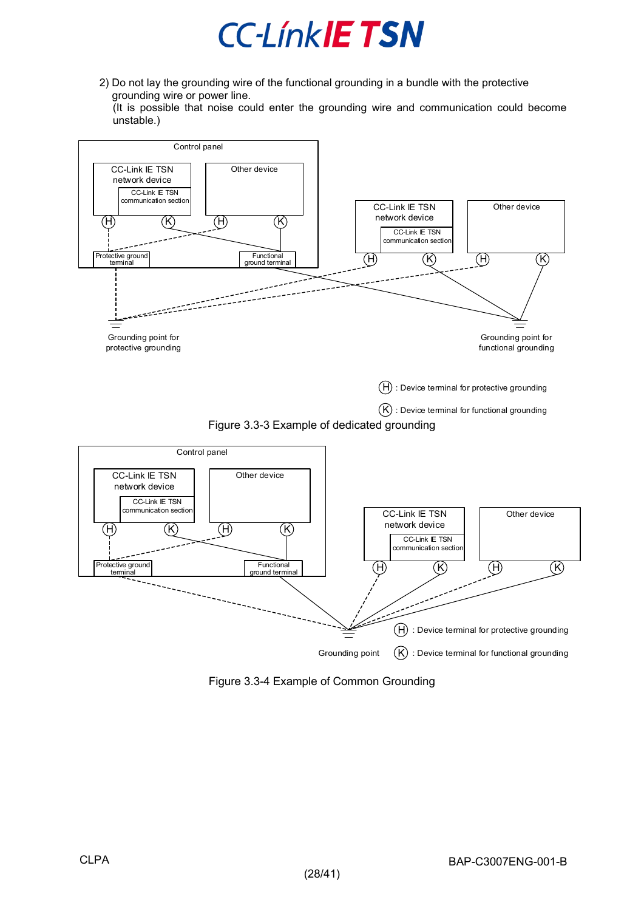

2) Do not lay the grounding wire of the functional grounding in a bundle with the protective grounding wire or power line.

(It is possible that noise could enter the grounding wire and communication could become unstable.)



<span id="page-27-1"></span><span id="page-27-0"></span>Figure 3.3-4 Example of Common Grounding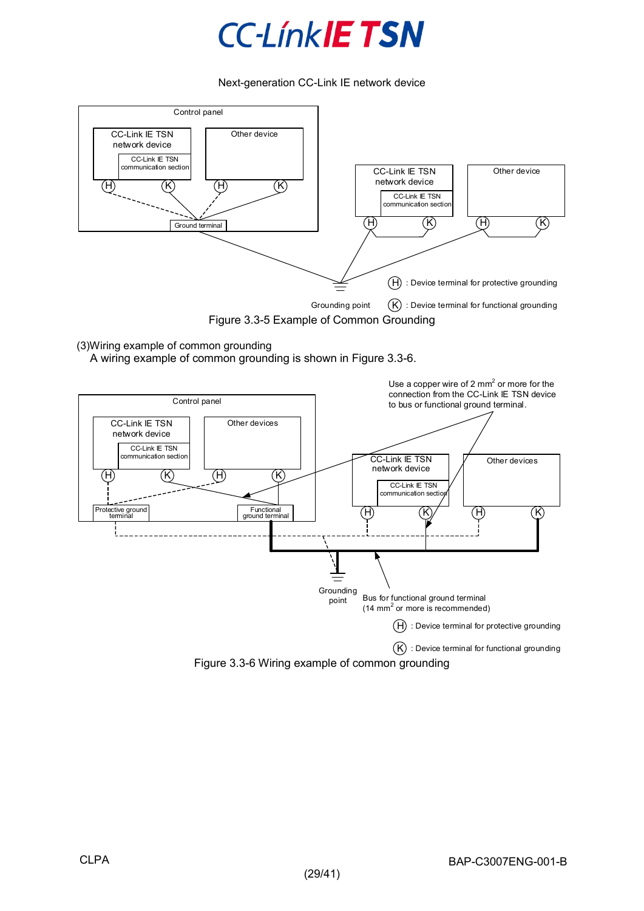

Next-generation CC-Link IE network device



(3)Wiring example of common grounding

A wiring example of common grounding is shown in [Figure 3.3-6.](#page-28-1)

<span id="page-28-0"></span>

<span id="page-28-1"></span>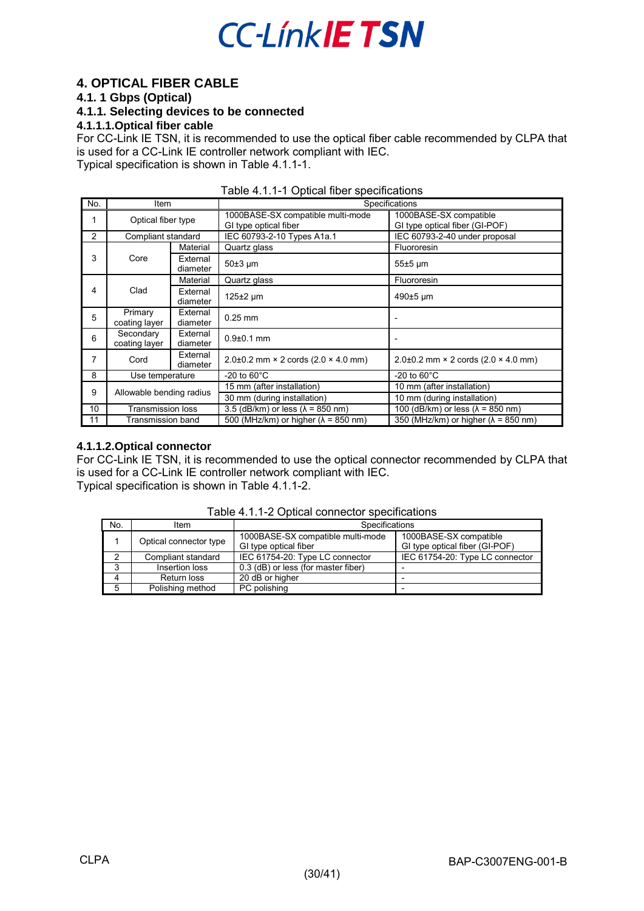### <span id="page-29-0"></span>**4. OPTICAL FIBER CABLE**

### <span id="page-29-1"></span>**4.1. 1 Gbps (Optical)**

<span id="page-29-2"></span>**4.1.1. Selecting devices to be connected** 

### <span id="page-29-3"></span>**4.1.1.1.Optical fiber cable**

For CC-Link IE TSN, it is recommended to use the optical fiber cable recommended by CLPA that is used for a CC-Link IE controller network compliant with IEC. Typical specification is shown in Table [4.1.1-1.](#page-29-5)

<span id="page-29-5"></span>

|                |                            |                      | Table +.1.1-1 Optical floch specifications                 |                                                          |
|----------------|----------------------------|----------------------|------------------------------------------------------------|----------------------------------------------------------|
| No.            | Item                       |                      | Specifications                                             |                                                          |
|                | Optical fiber type         |                      | 1000BASE-SX compatible multi-mode<br>GI type optical fiber | 1000BASE-SX compatible<br>GI type optical fiber (GI-POF) |
| $\overline{2}$ | Compliant standard         |                      | IEC 60793-2-10 Types A1a.1                                 | IEC 60793-2-40 under proposal                            |
|                |                            | Material             | Quartz glass                                               | Fluororesin                                              |
| 3              | Core                       | External<br>diameter | $50±3 \mu m$                                               | $55±5 \mu m$                                             |
|                |                            | Material             | Quartz glass                                               | Fluororesin                                              |
| 4              | Clad                       | External<br>diameter | $125 \pm 2$ µm                                             | 490±5 µm                                                 |
| 5              | Primary<br>coating layer   | External<br>diameter | $0.25$ mm                                                  |                                                          |
| 6              | Secondary<br>coating layer | External<br>diameter | $0.9 + 0.1$ mm                                             |                                                          |
| 7              | Cord                       | External<br>diameter | $2.0\pm0.2$ mm $\times$ 2 cords (2.0 $\times$ 4.0 mm)      | $2.0\pm0.2$ mm $\times$ 2 cords (2.0 $\times$ 4.0 mm)    |
| 8              | Use temperature            |                      | $-20$ to $60^{\circ}$ C                                    | -20 to $60^{\circ}$ C                                    |
| 9              | Allowable bending radius   |                      | 15 mm (after installation)                                 | 10 mm (after installation)                               |
|                |                            |                      | 30 mm (during installation)                                | 10 mm (during installation)                              |
| 10             | <b>Transmission loss</b>   |                      | 3.5 (dB/km) or less $(\lambda = 850 \text{ nm})$           | 100 (dB/km) or less ( $\lambda$ = 850 nm)                |
| 11             | Transmission band          |                      | 500 (MHz/km) or higher ( $\lambda$ = 850 nm)               | 350 (MHz/km) or higher ( $\lambda$ = 850 nm)             |

| Table 4.1.1-1 Optical fiber specifications |  |  |
|--------------------------------------------|--|--|
|--------------------------------------------|--|--|

### <span id="page-29-4"></span>**4.1.1.2.Optical connector**

For CC-Link IE TSN, it is recommended to use the optical connector recommended by CLPA that is used for a CC-Link IE controller network compliant with IEC. Typical specification is shown in [Table 4.1.1-2.](#page-29-6)

<span id="page-29-6"></span>

| No. | Item                   | <b>Specifications</b>                                      |                                                          |
|-----|------------------------|------------------------------------------------------------|----------------------------------------------------------|
|     | Optical connector type | 1000BASE-SX compatible multi-mode<br>GI type optical fiber | 1000BASE-SX compatible<br>GI type optical fiber (GI-POF) |
| ົ   | Compliant standard     | IEC 61754-20: Type LC connector                            | IEC 61754-20: Type LC connector                          |
| ◠   | Insertion loss         | 0.3 (dB) or less (for master fiber)                        |                                                          |
|     | Return loss            | 20 dB or higher                                            |                                                          |
| 5   | Polishing method       | PC polishing                                               |                                                          |

Table 4.1.1-2 Optical connector specifications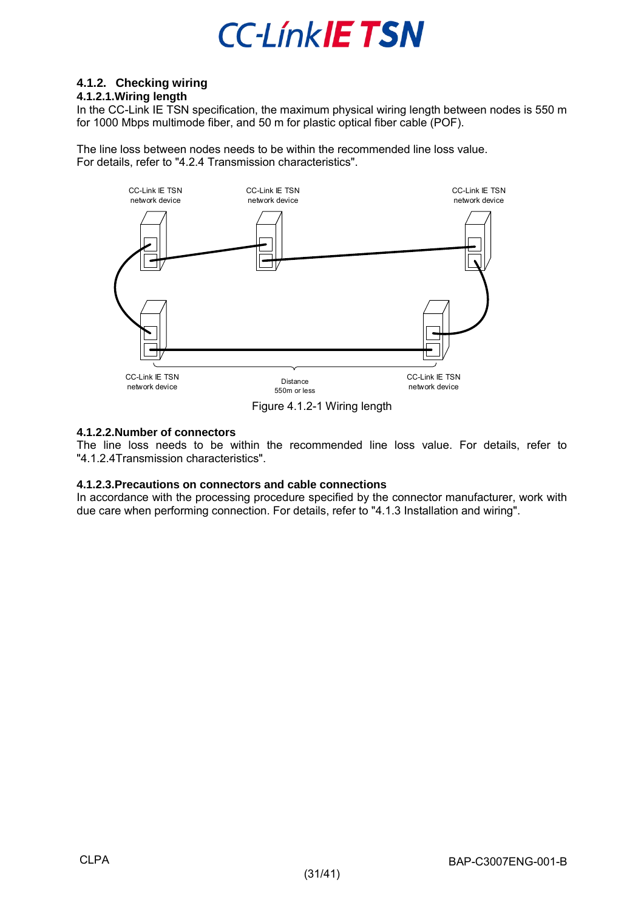

### <span id="page-30-0"></span>**4.1.2. Checking wiring**

### <span id="page-30-1"></span>**4.1.2.1.Wiring length**

In the CC-Link IE TSN specification, the maximum physical wiring length between nodes is 550 m for 1000 Mbps multimode fiber, and 50 m for plastic optical fiber cable (POF).

The line loss between nodes needs to be within the recommended line loss value. For details, refer to "4.2.4 Transmission characteristics".





### <span id="page-30-2"></span>**4.1.2.2.Number of connectors**

The line loss needs to be within the recommended line loss value. For details, refer to ["4.1.2.4T](#page-30-4)ransmission characteristics".

#### <span id="page-30-3"></span>**4.1.2.3.Precautions on connectors and cable connections**

<span id="page-30-4"></span>In accordance with the processing procedure specified by the connector manufacturer, work with due care when performing connection. For details, refer to ["4.1.3](#page-33-0) Installation and wiring".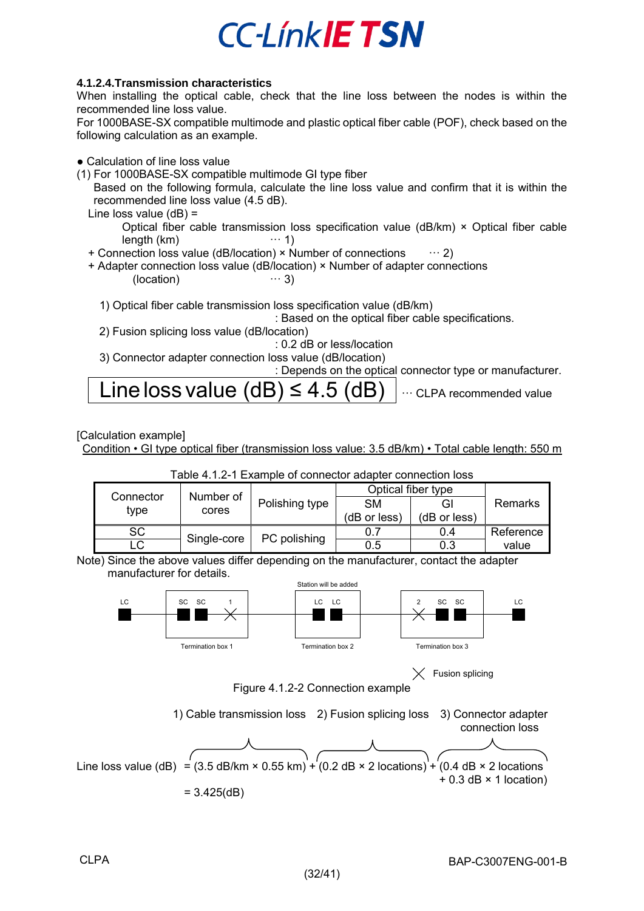### <span id="page-31-0"></span>**4.1.2.4.Transmission characteristics**

When installing the optical cable, check that the line loss between the nodes is within the recommended line loss value.

For 1000BASE-SX compatible multimode and plastic optical fiber cable (POF), check based on the following calculation as an example.

- Calculation of line loss value
- (1) For 1000BASE-SX compatible multimode GI type fiber

Based on the following formula, calculate the line loss value and confirm that it is within the recommended line loss value (4.5 dB).

- Line loss value (dB) = Optical fiber cable transmission loss specification value (dB/km)  $\times$  Optical fiber cable lenath (km)  $\cdots$  1)  $length (km)$
- + Connection loss value (dB/location)  $\times$  Number of connections  $\cdots$  2)
- + Adapter connection loss value (dB/location) × Number of adapter connections<br>(location)  $\cdots$  3) (location)

1) Optical fiber cable transmission loss specification value (dB/km)

: Based on the optical fiber cable specifications.

2) Fusion splicing loss value (dB/location)

: 0.2 dB or less/location

3) Connector adapter connection loss value (dB/location)

: Depends on the optical connector type or manufacturer.

$$
Line loss value (dB) \le 4.5 (dB)
$$

[Calculation example]

Condition • GI type optical fiber (transmission loss value: 3.5 dB/km) • Total cable length: 550 m



### Table 4.1.2-1 Example of connector adapter connection loss

Note) Since the above values differ depending on the manufacturer, contact the adapter manufacturer for details.



 $\times$  Fusion splicing

Figure 4.1.2-2 Connection example

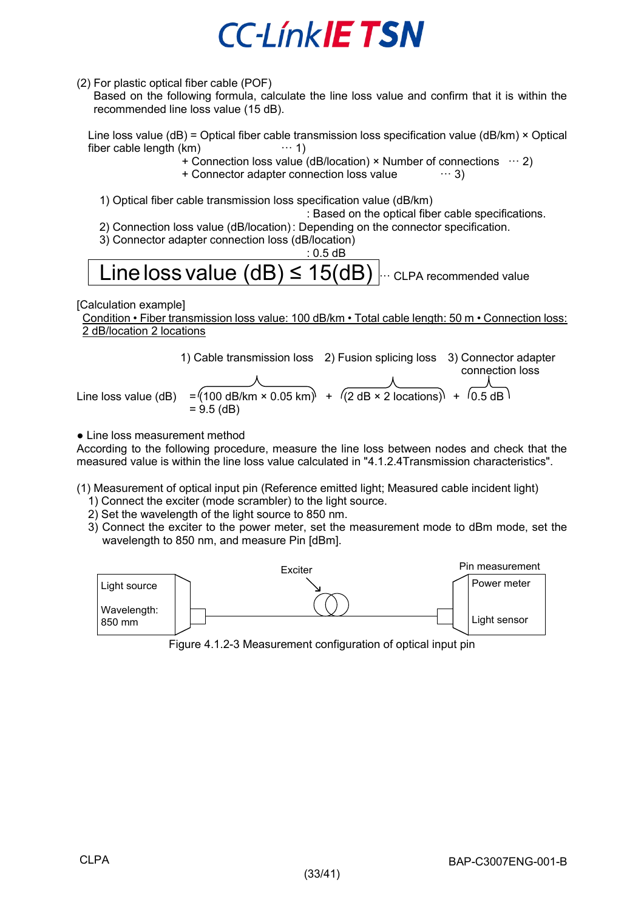(2) For plastic optical fiber cable (POF)

Based on the following formula, calculate the line loss value and confirm that it is within the recommended line loss value (15 dB).

Line loss value (dB) = Optical fiber cable transmission loss specification value (dB/km) × Optical fiber cable length (km)  $\cdots$  1)  $fiber$  cable length  $(km)$ 

+ Connection loss value (dB/location) × Number of connections  $\cdots$  2)<br>+ Connector adapter connection loss value  $\cdots$  3)

+ Connector adapter connection loss value

1) Optical fiber cable transmission loss specification value (dB/km)

: Based on the optical fiber cable specifications.

- 2) Connection loss value (dB/location) : Depending on the connector specification.
- 3) Connector adapter connection loss (dB/location)

### : 0.5 dB Line loss value  $(dB) \leq 15(dB)$   $\cdots$  CLPA recommended value

[Calculation example]

Condition • Fiber transmission loss value: 100 dB/km • Total cable length: 50 m • Connection loss: 2 dB/location 2 locations

1) Cable transmission loss 2) Fusion splicing loss 3) Connector adapter connection loss Line loss value (dB) =  $(100 \text{ dB/km} \times 0.05 \text{ km}) + (2 \text{ dB} \times 2 \text{ locations}) + (0.5 \text{ dB})$  $= 9.5$  (dB)

• Line loss measurement method

According to the following procedure, measure the line loss between nodes and check that the measured value is within the line loss value calculated in "4.1.2.4Transmission characteristics".

(1) Measurement of optical input pin (Reference emitted light; Measured cable incident light)

- 1) Connect the exciter (mode scrambler) to the light source.
- 2) Set the wavelength of the light source to 850 nm.
- 3) Connect the exciter to the power meter, set the measurement mode to dBm mode, set the wavelength to 850 nm, and measure Pin [dBm].



Figure 4.1.2-3 Measurement configuration of optical input pin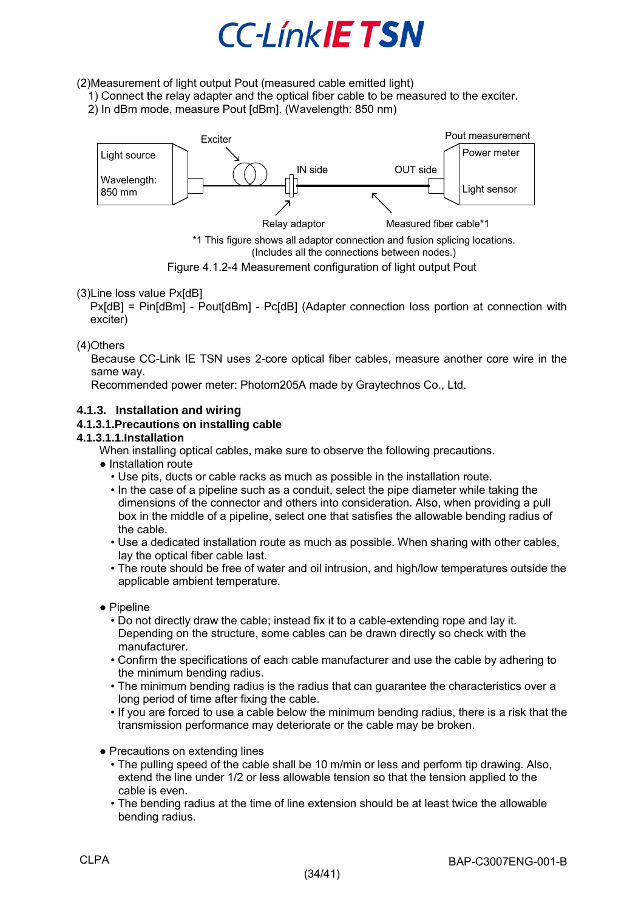(2)Measurement of light output Pout (measured cable emitted light)

- 1) Connect the relay adapter and the optical fiber cable to be measured to the exciter.
- 2) In dBm mode, measure Pout [dBm]. (Wavelength: 850 nm)



\*1 This figure shows all adaptor connection and fusion splicing locations. (Includes all the connections between nodes.)

Figure 4.1.2-4 Measurement configuration of light output Pout

### (3)Line loss value Px[dB]

Px[dB] = Pin[dBm] - Pout[dBm] - Pc[dB] (Adapter connection loss portion at connection with exciter)

### (4)Others

Because CC-Link IE TSN uses 2-core optical fiber cables, measure another core wire in the same way.

Recommended power meter: Photom205A made by Graytechnos Co., Ltd.

### <span id="page-33-0"></span>**4.1.3. Installation and wiring**

### <span id="page-33-1"></span>**4.1.3.1.Precautions on installing cable**

### <span id="page-33-2"></span>**4.1.3.1.1.Installation**

When installing optical cables, make sure to observe the following precautions.

- Installation route
	- Use pits, ducts or cable racks as much as possible in the installation route.
	- In the case of a pipeline such as a conduit, select the pipe diameter while taking the dimensions of the connector and others into consideration. Also, when providing a pull box in the middle of a pipeline, select one that satisfies the allowable bending radius of the cable.
	- Use a dedicated installation route as much as possible. When sharing with other cables, lay the optical fiber cable last.
	- The route should be free of water and oil intrusion, and high/low temperatures outside the applicable ambient temperature.
- Pipeline
	- Do not directly draw the cable; instead fix it to a cable-extending rope and lay it. Depending on the structure, some cables can be drawn directly so check with the manufacturer.
	- Confirm the specifications of each cable manufacturer and use the cable by adhering to the minimum bending radius.
	- The minimum bending radius is the radius that can guarantee the characteristics over a long period of time after fixing the cable.
	- If you are forced to use a cable below the minimum bending radius, there is a risk that the transmission performance may deteriorate or the cable may be broken.
- Precautions on extending lines
	- The pulling speed of the cable shall be 10 m/min or less and perform tip drawing. Also, extend the line under 1/2 or less allowable tension so that the tension applied to the cable is even.
	- The bending radius at the time of line extension should be at least twice the allowable bending radius.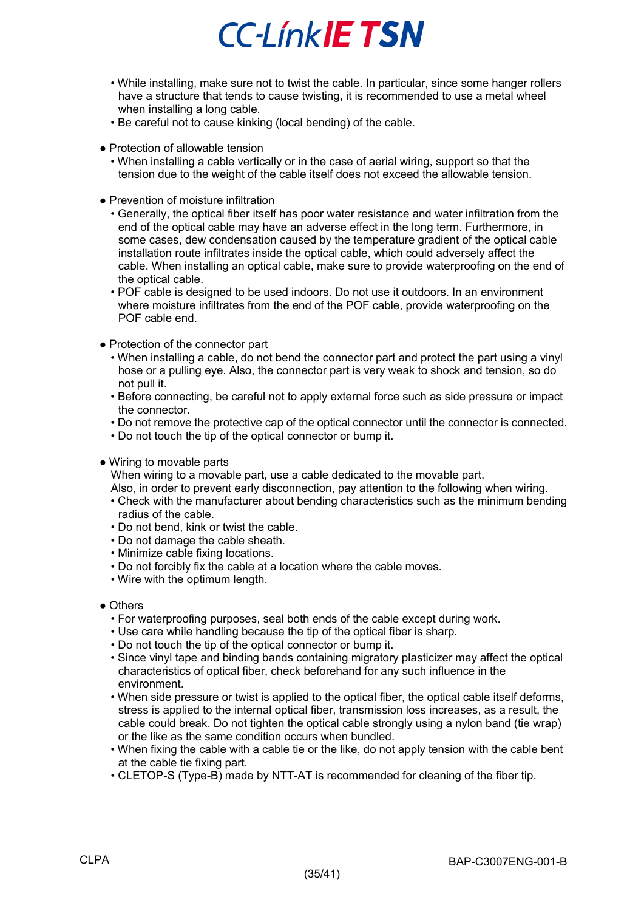- While installing, make sure not to twist the cable. In particular, since some hanger rollers have a structure that tends to cause twisting, it is recommended to use a metal wheel when installing a long cable.
- Be careful not to cause kinking (local bending) of the cable.
- Protection of allowable tension
	- When installing a cable vertically or in the case of aerial wiring, support so that the tension due to the weight of the cable itself does not exceed the allowable tension.
- Prevention of moisture infiltration
	- Generally, the optical fiber itself has poor water resistance and water infiltration from the end of the optical cable may have an adverse effect in the long term. Furthermore, in some cases, dew condensation caused by the temperature gradient of the optical cable installation route infiltrates inside the optical cable, which could adversely affect the cable. When installing an optical cable, make sure to provide waterproofing on the end of the optical cable.
	- POF cable is designed to be used indoors. Do not use it outdoors. In an environment where moisture infiltrates from the end of the POF cable, provide waterproofing on the POF cable end.
- Protection of the connector part
	- When installing a cable, do not bend the connector part and protect the part using a vinyl hose or a pulling eye. Also, the connector part is very weak to shock and tension, so do not pull it.
	- Before connecting, be careful not to apply external force such as side pressure or impact the connector.
	- Do not remove the protective cap of the optical connector until the connector is connected.
	- Do not touch the tip of the optical connector or bump it.
- Wiring to movable parts

When wiring to a movable part, use a cable dedicated to the movable part.

- Also, in order to prevent early disconnection, pay attention to the following when wiring.
- Check with the manufacturer about bending characteristics such as the minimum bending radius of the cable.
- Do not bend, kink or twist the cable.
- Do not damage the cable sheath.
- Minimize cable fixing locations.
- Do not forcibly fix the cable at a location where the cable moves.
- Wire with the optimum length.
- Others
	- For waterproofing purposes, seal both ends of the cable except during work.
	- Use care while handling because the tip of the optical fiber is sharp.
	- Do not touch the tip of the optical connector or bump it.
	- Since vinyl tape and binding bands containing migratory plasticizer may affect the optical characteristics of optical fiber, check beforehand for any such influence in the environment.
	- When side pressure or twist is applied to the optical fiber, the optical cable itself deforms, stress is applied to the internal optical fiber, transmission loss increases, as a result, the cable could break. Do not tighten the optical cable strongly using a nylon band (tie wrap) or the like as the same condition occurs when bundled.
	- When fixing the cable with a cable tie or the like, do not apply tension with the cable bent at the cable tie fixing part.
	- CLETOP-S (Type-B) made by NTT-AT is recommended for cleaning of the fiber tip.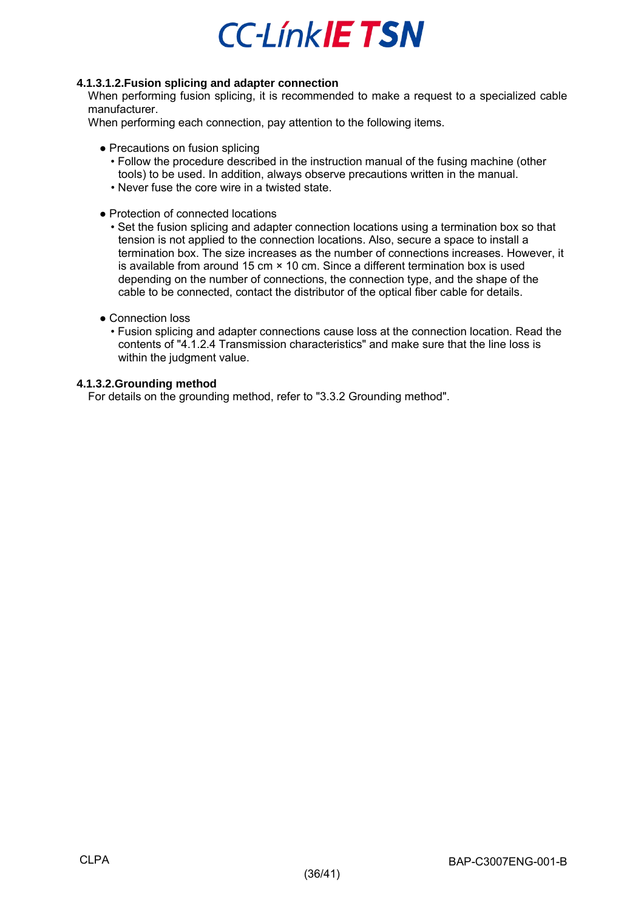### <span id="page-35-0"></span>**4.1.3.1.2.Fusion splicing and adapter connection**

When performing fusion splicing, it is recommended to make a request to a specialized cable manufacturer.

When performing each connection, pay attention to the following items.

- Precautions on fusion splicing
	- Follow the procedure described in the instruction manual of the fusing machine (other tools) to be used. In addition, always observe precautions written in the manual.
	- Never fuse the core wire in a twisted state.
- Protection of connected locations
	- Set the fusion splicing and adapter connection locations using a termination box so that tension is not applied to the connection locations. Also, secure a space to install a termination box. The size increases as the number of connections increases. However, it is available from around 15 cm × 10 cm. Since a different termination box is used depending on the number of connections, the connection type, and the shape of the cable to be connected, contact the distributor of the optical fiber cable for details.
- Connection loss
	- Fusion splicing and adapter connections cause loss at the connection location. Read the contents of ["4.1.2.4](#page-30-4) Transmission characteristics" and make sure that the line loss is within the judgment value.

### <span id="page-35-1"></span>**4.1.3.2.Grounding method**

For details on the grounding method, refer to "3.3.2 Grounding method".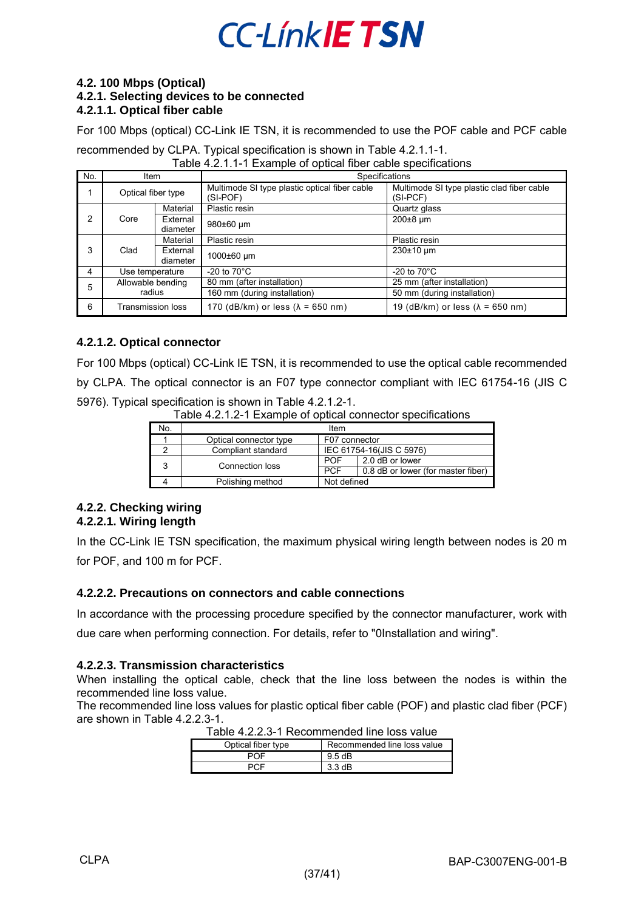#### <span id="page-36-1"></span><span id="page-36-0"></span>**4.2. 100 Mbps (Optical) 4.2.1. Selecting devices to be connected 4.2.1.1. Optical fiber cable**

<span id="page-36-2"></span>For 100 Mbps (optical) CC-Link IE TSN, it is recommended to use the POF cable and PCF cable

recommended by CLPA. Typical specification is shown in [Table 4.2.1.1-1.](#page-36-8) Table 4.2.1.1-1 Example of optical fiber cable specifications

<span id="page-36-8"></span>

|     |                    | Table 4.2.1.1-1 LAditible of optical liber cable specifications |                                |
|-----|--------------------|-----------------------------------------------------------------|--------------------------------|
| No. | ltem               | Specifications                                                  |                                |
|     | ∩ntical fiher tvne | Multimode SI type plastic optical fiber cable                   | Multimode SI type plastic clad |

|   | Optical fiber type       |                      | Multimode SI type plastic optical fiber cable<br>(SI-POF) | Multimode SI type plastic clad fiber cable<br>$(SI-PCF)$ |
|---|--------------------------|----------------------|-----------------------------------------------------------|----------------------------------------------------------|
|   |                          | Material             | Plastic resin                                             | Quartz glass                                             |
| 2 | Core                     | External<br>diameter | 980±60 um                                                 | $200\pm8$ µm                                             |
|   |                          | Material             | Plastic resin                                             | Plastic resin                                            |
| 3 | Clad                     | External<br>diameter | 1000±60 µm                                                | $230±10 \mu m$                                           |
| 4 | Use temperature          |                      | -20 to $70^{\circ}$ C                                     | -20 to $70^{\circ}$ C                                    |
| 5 | Allowable bending        |                      | 80 mm (after installation)                                | 25 mm (after installation)                               |
|   | radius                   |                      | 160 mm (during installation)                              | 50 mm (during installation)                              |
| 6 | <b>Transmission loss</b> |                      | 170 (dB/km) or less $(\lambda = 650 \text{ nm})$          | 19 (dB/km) or less ( $\lambda$ = 650 nm)                 |

### <span id="page-36-3"></span>**4.2.1.2. Optical connector**

<span id="page-36-9"></span>For 100 Mbps (optical) CC-Link IE TSN, it is recommended to use the optical cable recommended by CLPA. The optical connector is an F07 type connector compliant with IEC 61754-16 (JIS C 5976). Typical specification is shown in [Table 4.2.1.2-1.](#page-36-9)

|  |  |  | Table 4.2.1.2-1 Example of optical connector specifications |  |
|--|--|--|-------------------------------------------------------------|--|
|--|--|--|-------------------------------------------------------------|--|

| No. | Item                   |               |                                    |
|-----|------------------------|---------------|------------------------------------|
|     | Optical connector type | F07 connector |                                    |
|     | Compliant standard     |               | IEC 61754-16(JIS C 5976)           |
|     | Connection loss        | <b>POF</b>    | 2.0 dB or lower                    |
|     | 3                      | <b>PCF</b>    | 0.8 dB or lower (for master fiber) |
|     | Polishing method       | Not defined   |                                    |

### <span id="page-36-5"></span><span id="page-36-4"></span>**4.2.2. Checking wiring 4.2.2.1. Wiring length**

In the CC-Link IE TSN specification, the maximum physical wiring length between nodes is 20 m for POF, and 100 m for PCF.

### <span id="page-36-6"></span>**4.2.2.2. Precautions on connectors and cable connections**

In accordance with the processing procedure specified by the connector manufacturer, work with due care when performing connection. For details, refer to ["0I](#page-36-10)nstallation and wiring".

### <span id="page-36-7"></span>**4.2.2.3. Transmission characteristics**

When installing the optical cable, check that the line loss between the nodes is within the recommended line loss value.

<span id="page-36-11"></span><span id="page-36-10"></span>The recommended line loss values for plastic optical fiber cable (POF) and plastic clad fiber (PCF) are shown in [Table 4.2.2.3-1.](#page-36-11)

|                    | TADIC 4.2.2.9-T NECONTINENTED INTENDS VAIDE |
|--------------------|---------------------------------------------|
| Optical fiber type | Recommended line loss value                 |
| <b>POF</b>         | 9.5 dB                                      |
| <b>PCF</b>         | $3.3 \text{ dB}$                            |

| Table 4.2.2.3-1 Recommended line loss value |  |
|---------------------------------------------|--|
|---------------------------------------------|--|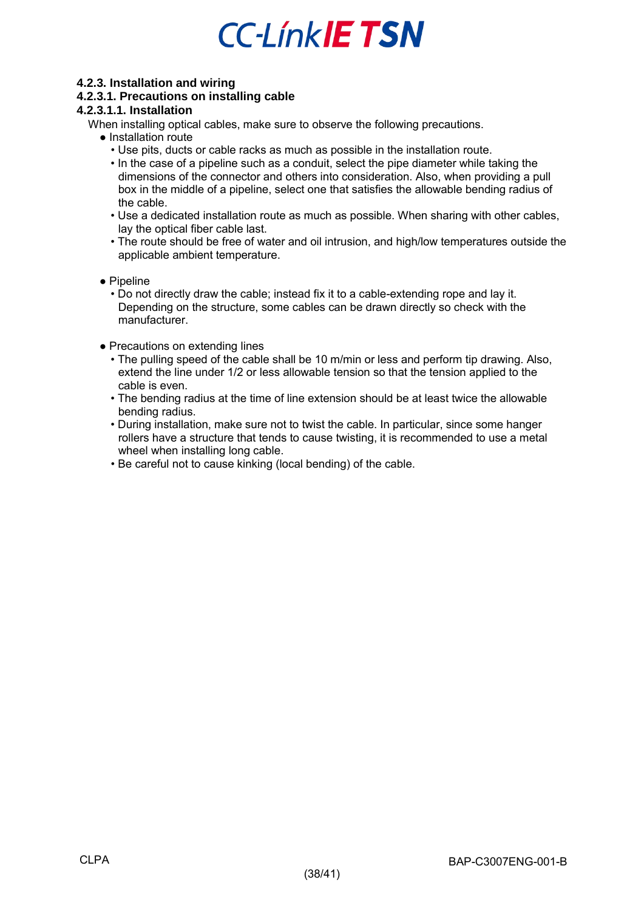### <span id="page-37-0"></span>**4.2.3. Installation and wiring**

### <span id="page-37-1"></span>**4.2.3.1. Precautions on installing cable**

### <span id="page-37-2"></span>**4.2.3.1.1. Installation**

When installing optical cables, make sure to observe the following precautions.

- Installation route
	- Use pits, ducts or cable racks as much as possible in the installation route.
	- In the case of a pipeline such as a conduit, select the pipe diameter while taking the dimensions of the connector and others into consideration. Also, when providing a pull box in the middle of a pipeline, select one that satisfies the allowable bending radius of the cable.
	- Use a dedicated installation route as much as possible. When sharing with other cables, lay the optical fiber cable last.
	- The route should be free of water and oil intrusion, and high/low temperatures outside the applicable ambient temperature.
- Pipeline
	- Do not directly draw the cable; instead fix it to a cable-extending rope and lay it. Depending on the structure, some cables can be drawn directly so check with the manufacturer.
- Precautions on extending lines
	- The pulling speed of the cable shall be 10 m/min or less and perform tip drawing. Also, extend the line under 1/2 or less allowable tension so that the tension applied to the cable is even.
	- The bending radius at the time of line extension should be at least twice the allowable bending radius.
	- During installation, make sure not to twist the cable. In particular, since some hanger rollers have a structure that tends to cause twisting, it is recommended to use a metal wheel when installing long cable.
	- Be careful not to cause kinking (local bending) of the cable.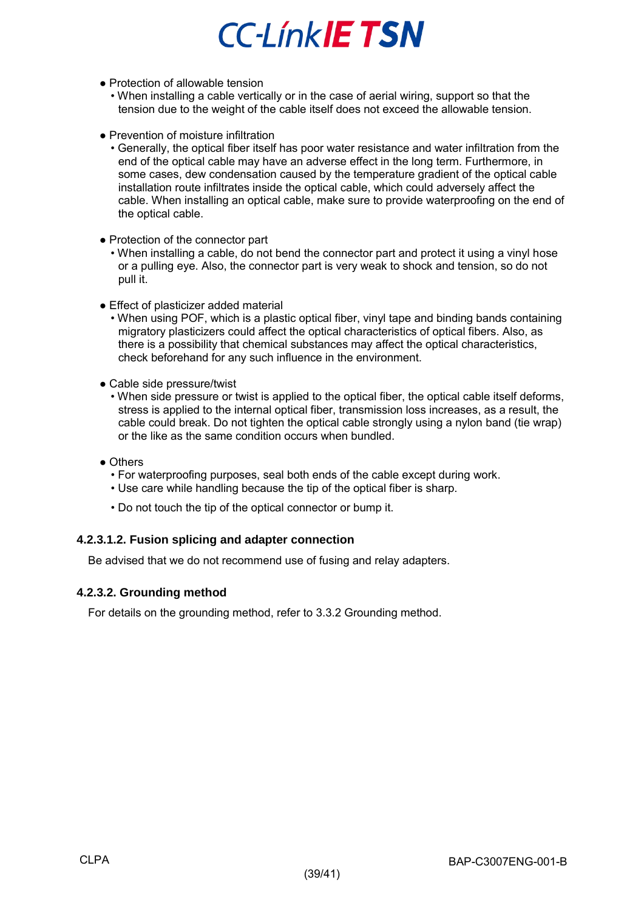- Protection of allowable tension
	- When installing a cable vertically or in the case of aerial wiring, support so that the tension due to the weight of the cable itself does not exceed the allowable tension.
- Prevention of moisture infiltration
	- Generally, the optical fiber itself has poor water resistance and water infiltration from the end of the optical cable may have an adverse effect in the long term. Furthermore, in some cases, dew condensation caused by the temperature gradient of the optical cable installation route infiltrates inside the optical cable, which could adversely affect the cable. When installing an optical cable, make sure to provide waterproofing on the end of the optical cable.
- Protection of the connector part
	- When installing a cable, do not bend the connector part and protect it using a vinyl hose or a pulling eye. Also, the connector part is very weak to shock and tension, so do not pull it.
- Effect of plasticizer added material
	- When using POF, which is a plastic optical fiber, vinyl tape and binding bands containing migratory plasticizers could affect the optical characteristics of optical fibers. Also, as there is a possibility that chemical substances may affect the optical characteristics, check beforehand for any such influence in the environment.
- Cable side pressure/twist
	- When side pressure or twist is applied to the optical fiber, the optical cable itself deforms, stress is applied to the internal optical fiber, transmission loss increases, as a result, the cable could break. Do not tighten the optical cable strongly using a nylon band (tie wrap) or the like as the same condition occurs when bundled.
- Others
	- For waterproofing purposes, seal both ends of the cable except during work.
	- Use care while handling because the tip of the optical fiber is sharp.
	- Do not touch the tip of the optical connector or bump it.

### <span id="page-38-0"></span>**4.2.3.1.2. Fusion splicing and adapter connection**

Be advised that we do not recommend use of fusing and relay adapters.

### <span id="page-38-1"></span>**4.2.3.2. Grounding method**

For details on the grounding method, refer to 3.3.2 Grounding method.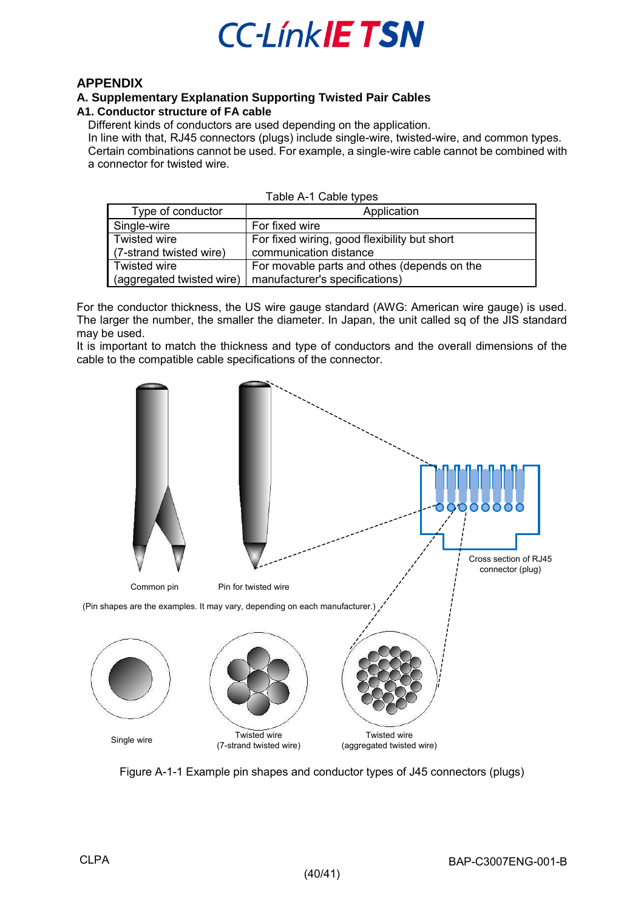

### <span id="page-39-0"></span>**APPENDIX**

#### <span id="page-39-1"></span>**A. Supplementary Explanation Supporting Twisted Pair Cables A1. Conductor structure of FA cable**

### <span id="page-39-2"></span>Different kinds of conductors are used depending on the application.

In line with that, RJ45 connectors (plugs) include single-wire, twisted-wire, and common types.

Certain combinations cannot be used. For example, a single-wire cable cannot be combined with a connector for twisted wire.

| Table A-1 Cable types     |                                              |  |
|---------------------------|----------------------------------------------|--|
| Type of conductor         | Application                                  |  |
| Single-wire               | For fixed wire                               |  |
| Twisted wire              | For fixed wiring, good flexibility but short |  |
| (7-strand twisted wire)   | communication distance                       |  |
| <b>Twisted wire</b>       | For movable parts and othes (depends on the  |  |
| (aggregated twisted wire) | manufacturer's specifications)               |  |

For the conductor thickness, the US wire gauge standard (AWG: American wire gauge) is used. The larger the number, the smaller the diameter. In Japan, the unit called sq of the JIS standard may be used.

It is important to match the thickness and type of conductors and the overall dimensions of the cable to the compatible cable specifications of the connector.



Figure A-1-1 Example pin shapes and conductor types of J45 connectors (plugs)